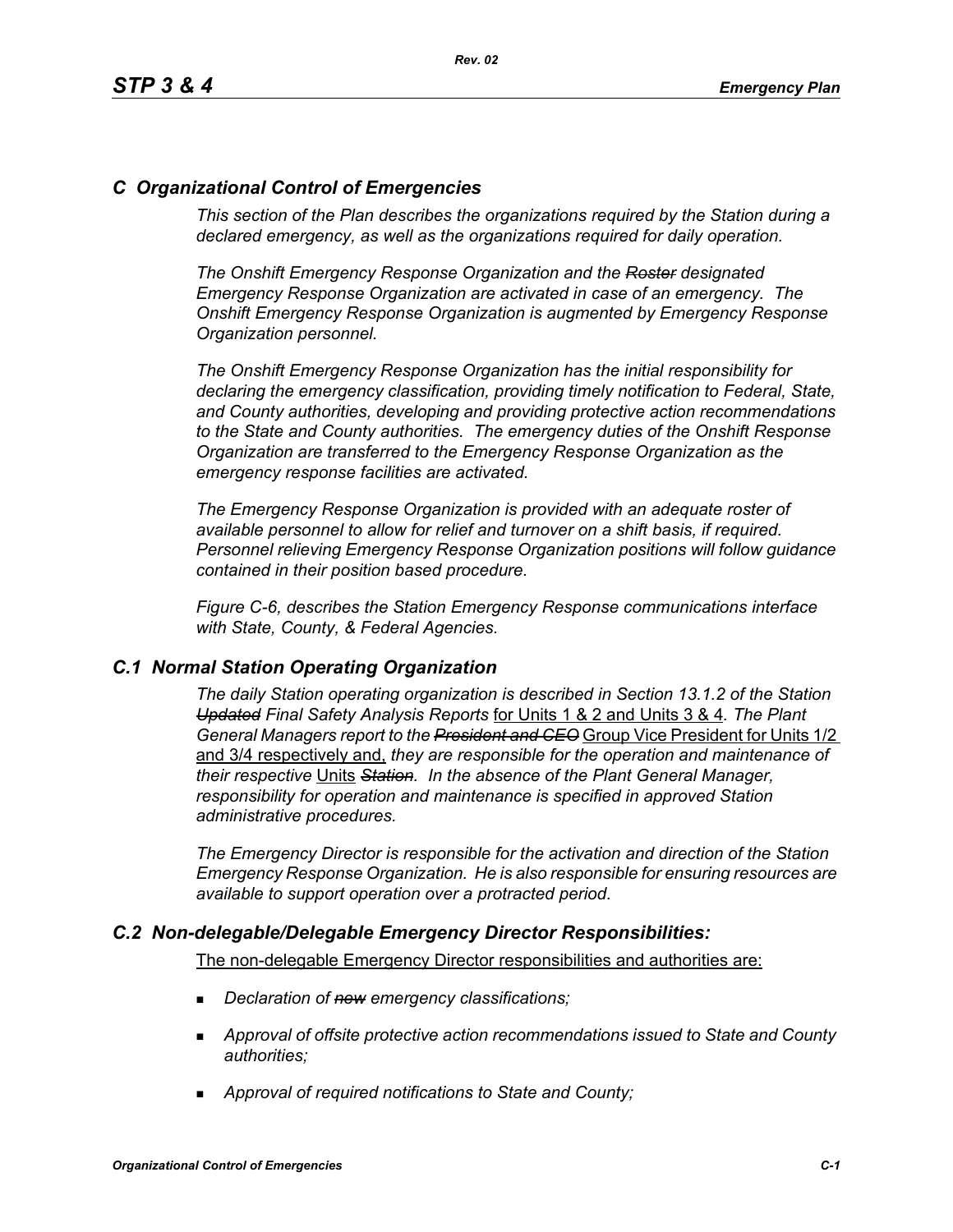# *C Organizational Control of Emergencies*

*This section of the Plan describes the organizations required by the Station during a declared emergency, as well as the organizations required for daily operation.*

*The Onshift Emergency Response Organization and the Roster designated Emergency Response Organization are activated in case of an emergency. The Onshift Emergency Response Organization is augmented by Emergency Response Organization personnel.* 

*The Onshift Emergency Response Organization has the initial responsibility for declaring the emergency classification, providing timely notification to Federal, State, and County authorities, developing and providing protective action recommendations to the State and County authorities. The emergency duties of the Onshift Response Organization are transferred to the Emergency Response Organization as the emergency response facilities are activated.* 

*The Emergency Response Organization is provided with an adequate roster of available personnel to allow for relief and turnover on a shift basis, if required. Personnel relieving Emergency Response Organization positions will follow guidance contained in their position based procedure.*

*Figure C-6, describes the Station Emergency Response communications interface with State, County, & Federal Agencies.*

### *C.1 Normal Station Operating Organization*

*The daily Station operating organization is described in Section 13.1.2 of the Station Updated Final Safety Analysis Reports* for Units 1 & 2 and Units 3 & 4*. The Plant General Managers report to the President and CEO* Group Vice President for Units 1/2 and 3/4 respectively and, *they are responsible for the operation and maintenance of their respective* Units *Station. In the absence of the Plant General Manager, responsibility for operation and maintenance is specified in approved Station administrative procedures.*

*The Emergency Director is responsible for the activation and direction of the Station Emergency Response Organization. He is also responsible for ensuring resources are available to support operation over a protracted period.*

### *C.2 Non-delegable/Delegable Emergency Director Responsibilities:*

The non-delegable Emergency Director responsibilities and authorities are:

- *Declaration of new emergency classifications;*
- *Approval of offsite protective action recommendations issued to State and County authorities;*
- *Approval of required notifications to State and County;*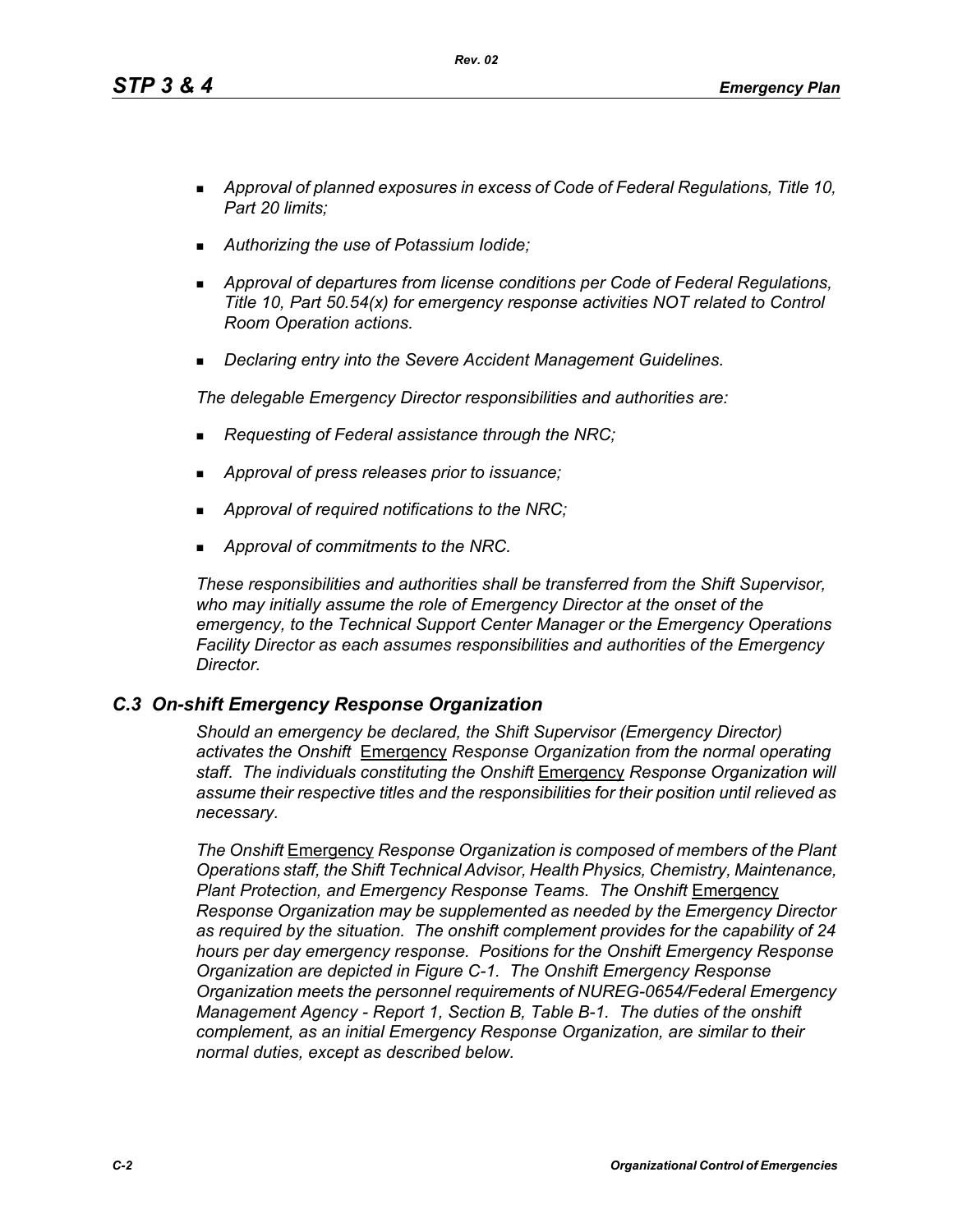*Rev. 02*

- *Approval of planned exposures in excess of Code of Federal Regulations, Title 10, Part 20 limits;*
- *Authorizing the use of Potassium Iodide;*
- *Approval of departures from license conditions per Code of Federal Regulations, Title 10, Part 50.54(x) for emergency response activities NOT related to Control Room Operation actions.*
- *Declaring entry into the Severe Accident Management Guidelines.*

*The delegable Emergency Director responsibilities and authorities are:*

- *Requesting of Federal assistance through the NRC;*
- *Approval of press releases prior to issuance;*
- *Approval of required notifications to the NRC;*
- *Approval of commitments to the NRC.*

*These responsibilities and authorities shall be transferred from the Shift Supervisor, who may initially assume the role of Emergency Director at the onset of the emergency, to the Technical Support Center Manager or the Emergency Operations Facility Director as each assumes responsibilities and authorities of the Emergency Director.*

# *C.3 On-shift Emergency Response Organization*

*Should an emergency be declared, the Shift Supervisor (Emergency Director) activates the Onshift* Emergency *Response Organization from the normal operating staff. The individuals constituting the Onshift* Emergency *Response Organization will assume their respective titles and the responsibilities for their position until relieved as necessary.*

*The Onshift* Emergency *Response Organization is composed of members of the Plant Operations staff, the Shift Technical Advisor, Health Physics, Chemistry, Maintenance,*  **Plant Protection, and Emergency Response Teams. The Onshift** *Emergency Response Organization may be supplemented as needed by the Emergency Director as required by the situation. The onshift complement provides for the capability of 24 hours per day emergency response. Positions for the Onshift Emergency Response Organization are depicted in Figure C-1. The Onshift Emergency Response Organization meets the personnel requirements of NUREG-0654/Federal Emergency Management Agency - Report 1, Section B, Table B-1. The duties of the onshift complement, as an initial Emergency Response Organization, are similar to their normal duties, except as described below.*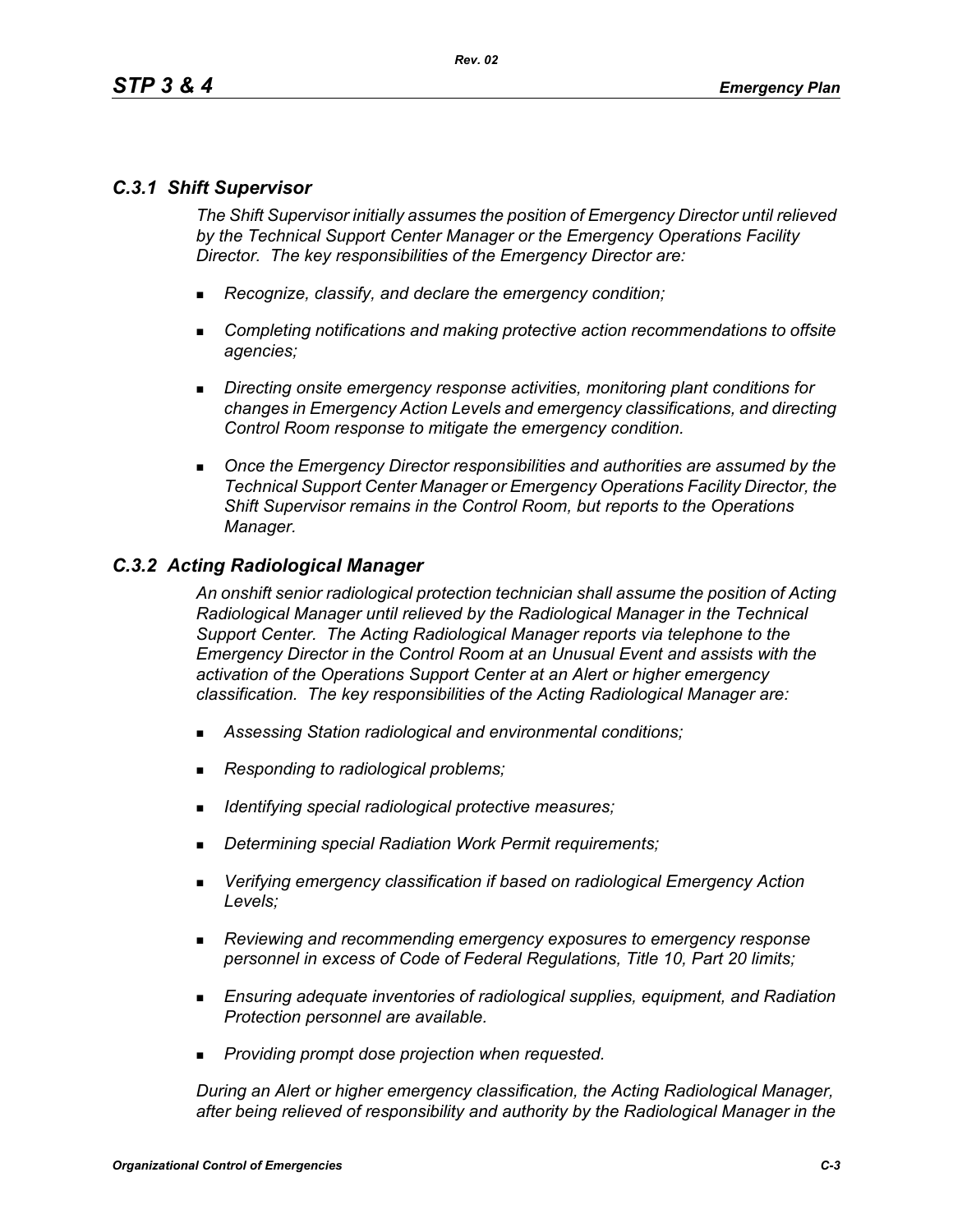# *C.3.1 Shift Supervisor*

*The Shift Supervisor initially assumes the position of Emergency Director until relieved by the Technical Support Center Manager or the Emergency Operations Facility Director. The key responsibilities of the Emergency Director are:*

- *Recognize, classify, and declare the emergency condition;*
- *Completing notifications and making protective action recommendations to offsite agencies;*
- *Directing onsite emergency response activities, monitoring plant conditions for changes in Emergency Action Levels and emergency classifications, and directing Control Room response to mitigate the emergency condition.*
- *Once the Emergency Director responsibilities and authorities are assumed by the Technical Support Center Manager or Emergency Operations Facility Director, the Shift Supervisor remains in the Control Room, but reports to the Operations Manager.*

### *C.3.2 Acting Radiological Manager*

*An onshift senior radiological protection technician shall assume the position of Acting Radiological Manager until relieved by the Radiological Manager in the Technical Support Center. The Acting Radiological Manager reports via telephone to the Emergency Director in the Control Room at an Unusual Event and assists with the activation of the Operations Support Center at an Alert or higher emergency classification. The key responsibilities of the Acting Radiological Manager are:*

- *Assessing Station radiological and environmental conditions;*
- *Responding to radiological problems;*
- *Identifying special radiological protective measures;*
- *Determining special Radiation Work Permit requirements;*
- *Verifying emergency classification if based on radiological Emergency Action Levels;*
- *Reviewing and recommending emergency exposures to emergency response personnel in excess of Code of Federal Regulations, Title 10, Part 20 limits;*
- *Ensuring adequate inventories of radiological supplies, equipment, and Radiation Protection personnel are available.*
- *Providing prompt dose projection when requested.*

*During an Alert or higher emergency classification, the Acting Radiological Manager, after being relieved of responsibility and authority by the Radiological Manager in the*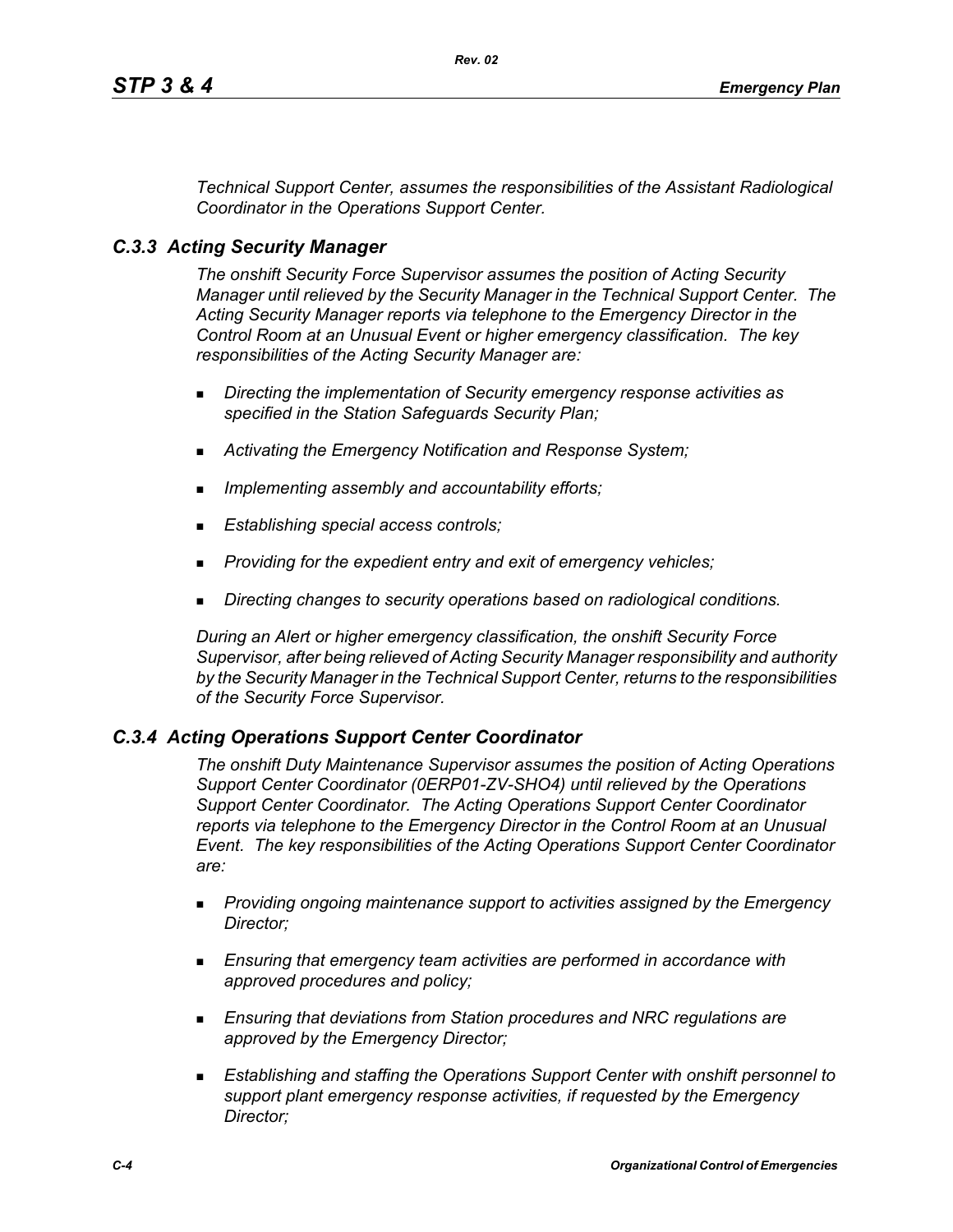*Technical Support Center, assumes the responsibilities of the Assistant Radiological Coordinator in the Operations Support Center.*

### *C.3.3 Acting Security Manager*

*The onshift Security Force Supervisor assumes the position of Acting Security Manager until relieved by the Security Manager in the Technical Support Center. The Acting Security Manager reports via telephone to the Emergency Director in the Control Room at an Unusual Event or higher emergency classification. The key responsibilities of the Acting Security Manager are:*

- *Directing the implementation of Security emergency response activities as specified in the Station Safeguards Security Plan;*
- *Activating the Emergency Notification and Response System;*
- *Implementing assembly and accountability efforts;*
- *Establishing special access controls;*
- *Providing for the expedient entry and exit of emergency vehicles;*
- *Directing changes to security operations based on radiological conditions.*

*During an Alert or higher emergency classification, the onshift Security Force Supervisor, after being relieved of Acting Security Manager responsibility and authority by the Security Manager in the Technical Support Center, returns to the responsibilities of the Security Force Supervisor.*

### *C.3.4 Acting Operations Support Center Coordinator*

*The onshift Duty Maintenance Supervisor assumes the position of Acting Operations Support Center Coordinator (0ERP01-ZV-SHO4) until relieved by the Operations Support Center Coordinator. The Acting Operations Support Center Coordinator reports via telephone to the Emergency Director in the Control Room at an Unusual Event. The key responsibilities of the Acting Operations Support Center Coordinator are:*

- *Providing ongoing maintenance support to activities assigned by the Emergency Director;*
- *Ensuring that emergency team activities are performed in accordance with approved procedures and policy;*
- *Ensuring that deviations from Station procedures and NRC regulations are approved by the Emergency Director;*
- *Establishing and staffing the Operations Support Center with onshift personnel to support plant emergency response activities, if requested by the Emergency Director;*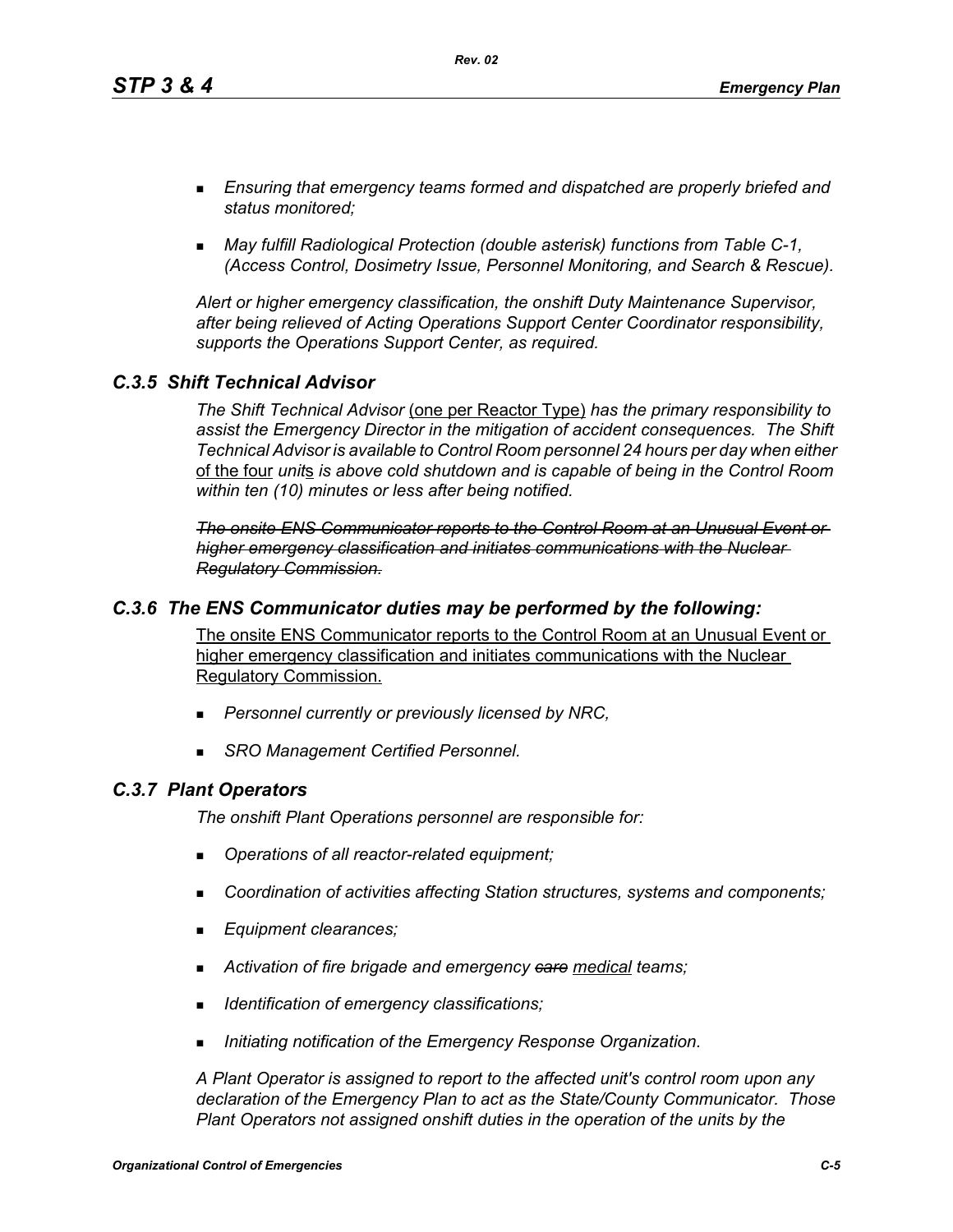*Rev. 02*

- *Ensuring that emergency teams formed and dispatched are properly briefed and status monitored;*
- *May fulfill Radiological Protection (double asterisk) functions from Table C-1, (Access Control, Dosimetry Issue, Personnel Monitoring, and Search & Rescue).*

*Alert or higher emergency classification, the onshift Duty Maintenance Supervisor, after being relieved of Acting Operations Support Center Coordinator responsibility, supports the Operations Support Center, as required.*

# *C.3.5 Shift Technical Advisor*

*The Shift Technical Advisor* (one per Reactor Type) *has the primary responsibility to assist the Emergency Director in the mitigation of accident consequences. The Shift Technical Advisor is available to Control Room personnel 24 hours per day when either*  of the four *unit*s *is above cold shutdown and is capable of being in the Control Room within ten (10) minutes or less after being notified.*

*The onsite ENS Communicator reports to the Control Room at an Unusual Event or higher emergency classification and initiates communications with the Nuclear Regulatory Commission.*

### *C.3.6 The ENS Communicator duties may be performed by the following:*

The onsite ENS Communicator reports to the Control Room at an Unusual Event or higher emergency classification and initiates communications with the Nuclear Regulatory Commission.

- *Personnel currently or previously licensed by NRC,*
- *SRO Management Certified Personnel.*

# *C.3.7 Plant Operators*

*The onshift Plant Operations personnel are responsible for:*

- *Operations of all reactor-related equipment;*
- *Coordination of activities affecting Station structures, systems and components;*
- *Equipment clearances;*
- *Activation of fire brigade and emergency care medical teams;*
- *Identification of emergency classifications;*
- *Initiating notification of the Emergency Response Organization.*

*A Plant Operator is assigned to report to the affected unit's control room upon any declaration of the Emergency Plan to act as the State/County Communicator. Those Plant Operators not assigned onshift duties in the operation of the units by the*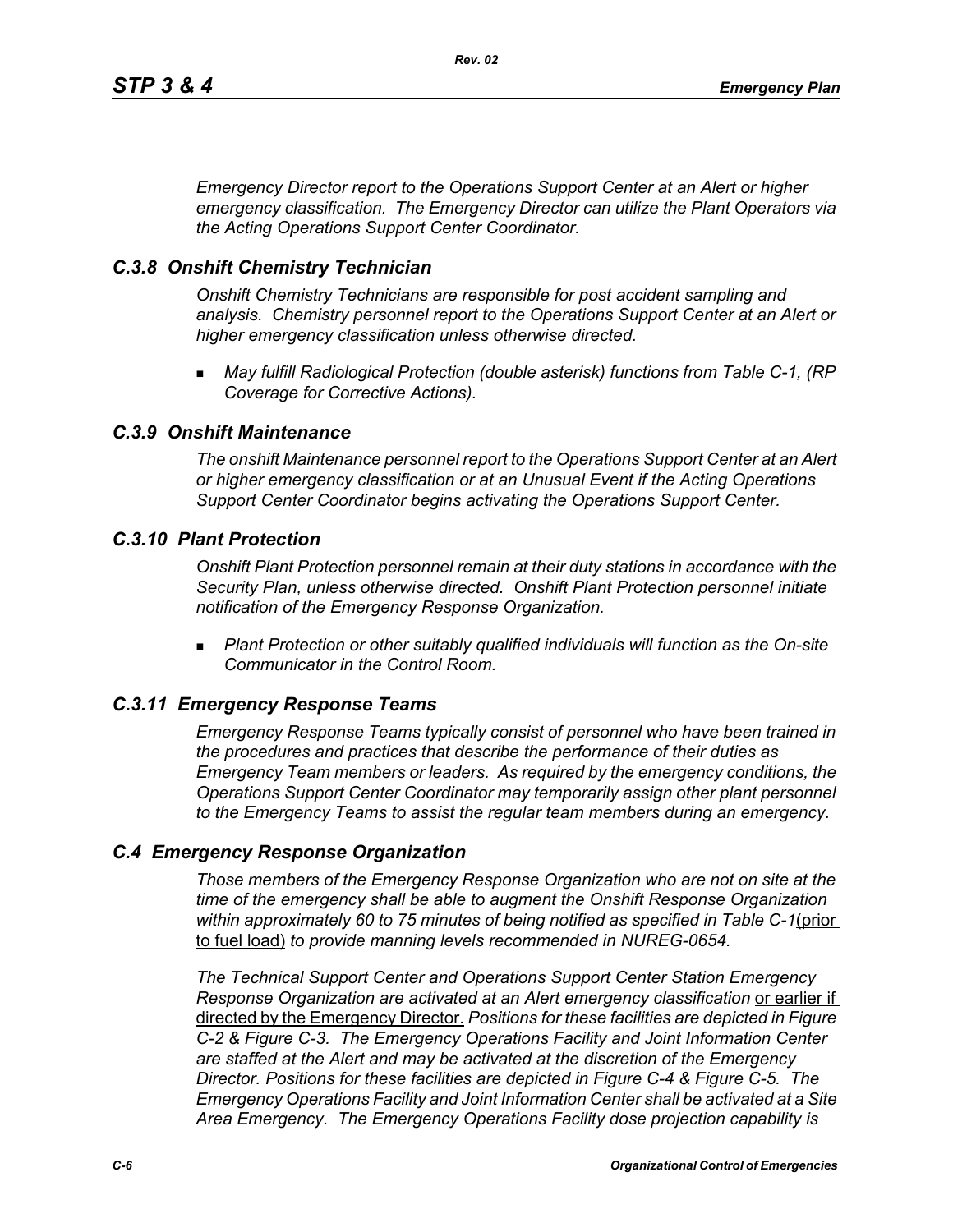*Emergency Director report to the Operations Support Center at an Alert or higher emergency classification. The Emergency Director can utilize the Plant Operators via the Acting Operations Support Center Coordinator.* 

### *C.3.8 Onshift Chemistry Technician*

*Onshift Chemistry Technicians are responsible for post accident sampling and analysis. Chemistry personnel report to the Operations Support Center at an Alert or higher emergency classification unless otherwise directed.*

 *May fulfill Radiological Protection (double asterisk) functions from Table C-1, (RP Coverage for Corrective Actions).*

#### *C.3.9 Onshift Maintenance*

*The onshift Maintenance personnel report to the Operations Support Center at an Alert or higher emergency classification or at an Unusual Event if the Acting Operations Support Center Coordinator begins activating the Operations Support Center.*

#### *C.3.10 Plant Protection*

*Onshift Plant Protection personnel remain at their duty stations in accordance with the Security Plan, unless otherwise directed. Onshift Plant Protection personnel initiate notification of the Emergency Response Organization.*

 *Plant Protection or other suitably qualified individuals will function as the On-site Communicator in the Control Room.*

### *C.3.11 Emergency Response Teams*

*Emergency Response Teams typically consist of personnel who have been trained in the procedures and practices that describe the performance of their duties as Emergency Team members or leaders. As required by the emergency conditions, the Operations Support Center Coordinator may temporarily assign other plant personnel to the Emergency Teams to assist the regular team members during an emergency.*

### *C.4 Emergency Response Organization*

*Those members of the Emergency Response Organization who are not on site at the time of the emergency shall be able to augment the Onshift Response Organization within approximately 60 to 75 minutes of being notified as specified in Table C-1*(prior to fuel load) *to provide manning levels recommended in NUREG-0654.*

*The Technical Support Center and Operations Support Center Station Emergency Response Organization are activated at an Alert emergency classification* or earlier if directed by the Emergency Director. *Positions for these facilities are depicted in Figure C-2 & Figure C-3. The Emergency Operations Facility and Joint Information Center are staffed at the Alert and may be activated at the discretion of the Emergency Director. Positions for these facilities are depicted in Figure C-4 & Figure C-5. The Emergency Operations Facility and Joint Information Center shall be activated at a Site Area Emergency. The Emergency Operations Facility dose projection capability is*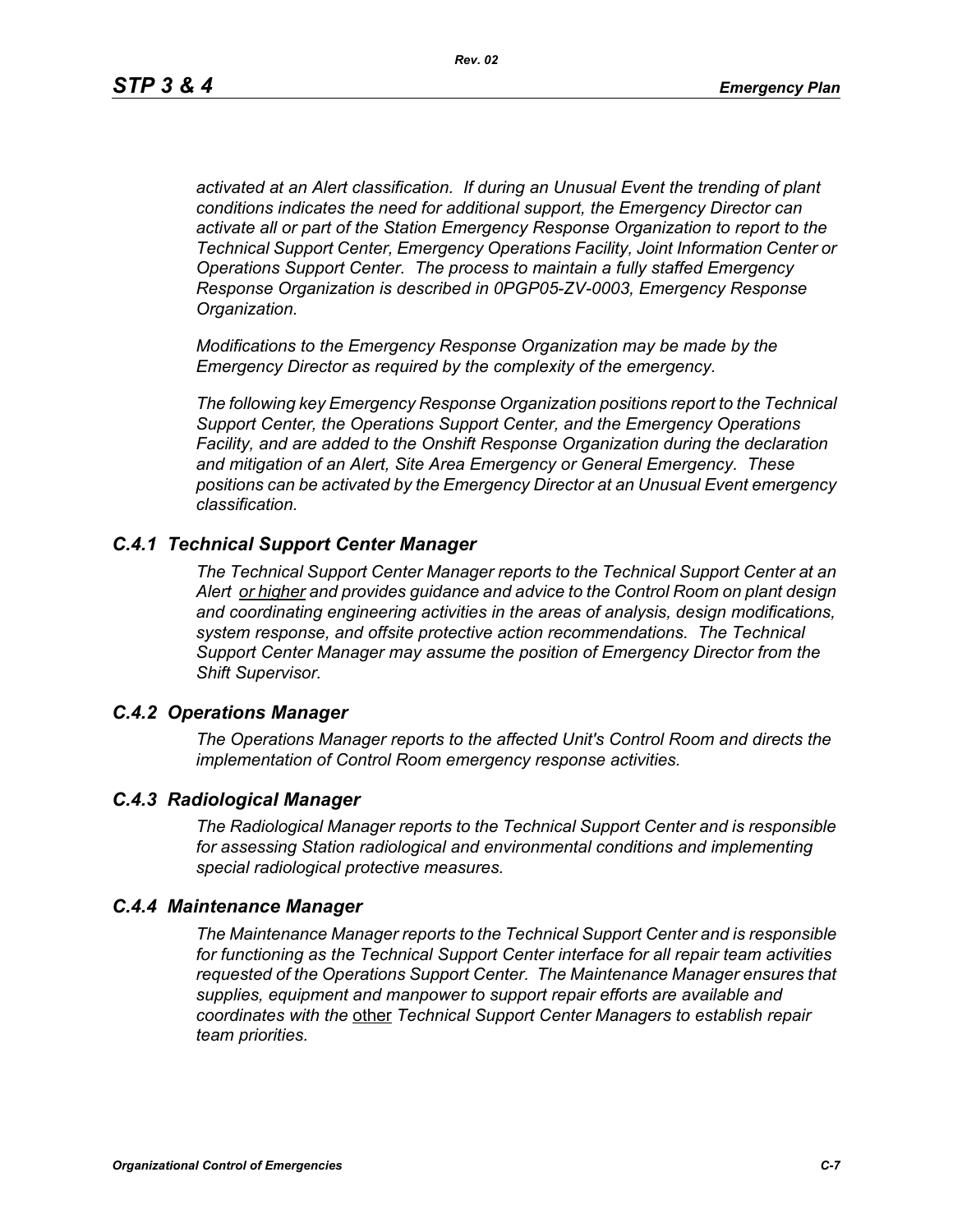*activated at an Alert classification. If during an Unusual Event the trending of plant conditions indicates the need for additional support, the Emergency Director can activate all or part of the Station Emergency Response Organization to report to the Technical Support Center, Emergency Operations Facility, Joint Information Center or Operations Support Center. The process to maintain a fully staffed Emergency Response Organization is described in 0PGP05-ZV-0003, Emergency Response Organization.*

*Modifications to the Emergency Response Organization may be made by the Emergency Director as required by the complexity of the emergency.*

*The following key Emergency Response Organization positions report to the Technical Support Center, the Operations Support Center, and the Emergency Operations Facility, and are added to the Onshift Response Organization during the declaration and mitigation of an Alert, Site Area Emergency or General Emergency. These positions can be activated by the Emergency Director at an Unusual Event emergency classification.*

### *C.4.1 Technical Support Center Manager*

*The Technical Support Center Manager reports to the Technical Support Center at an Alert or higher and provides guidance and advice to the Control Room on plant design and coordinating engineering activities in the areas of analysis, design modifications, system response, and offsite protective action recommendations. The Technical Support Center Manager may assume the position of Emergency Director from the Shift Supervisor.*

### *C.4.2 Operations Manager*

*The Operations Manager reports to the affected Unit's Control Room and directs the implementation of Control Room emergency response activities.*

### *C.4.3 Radiological Manager*

*The Radiological Manager reports to the Technical Support Center and is responsible for assessing Station radiological and environmental conditions and implementing special radiological protective measures.*

### *C.4.4 Maintenance Manager*

*The Maintenance Manager reports to the Technical Support Center and is responsible for functioning as the Technical Support Center interface for all repair team activities requested of the Operations Support Center. The Maintenance Manager ensures that supplies, equipment and manpower to support repair efforts are available and coordinates with the* other *Technical Support Center Managers to establish repair team priorities.*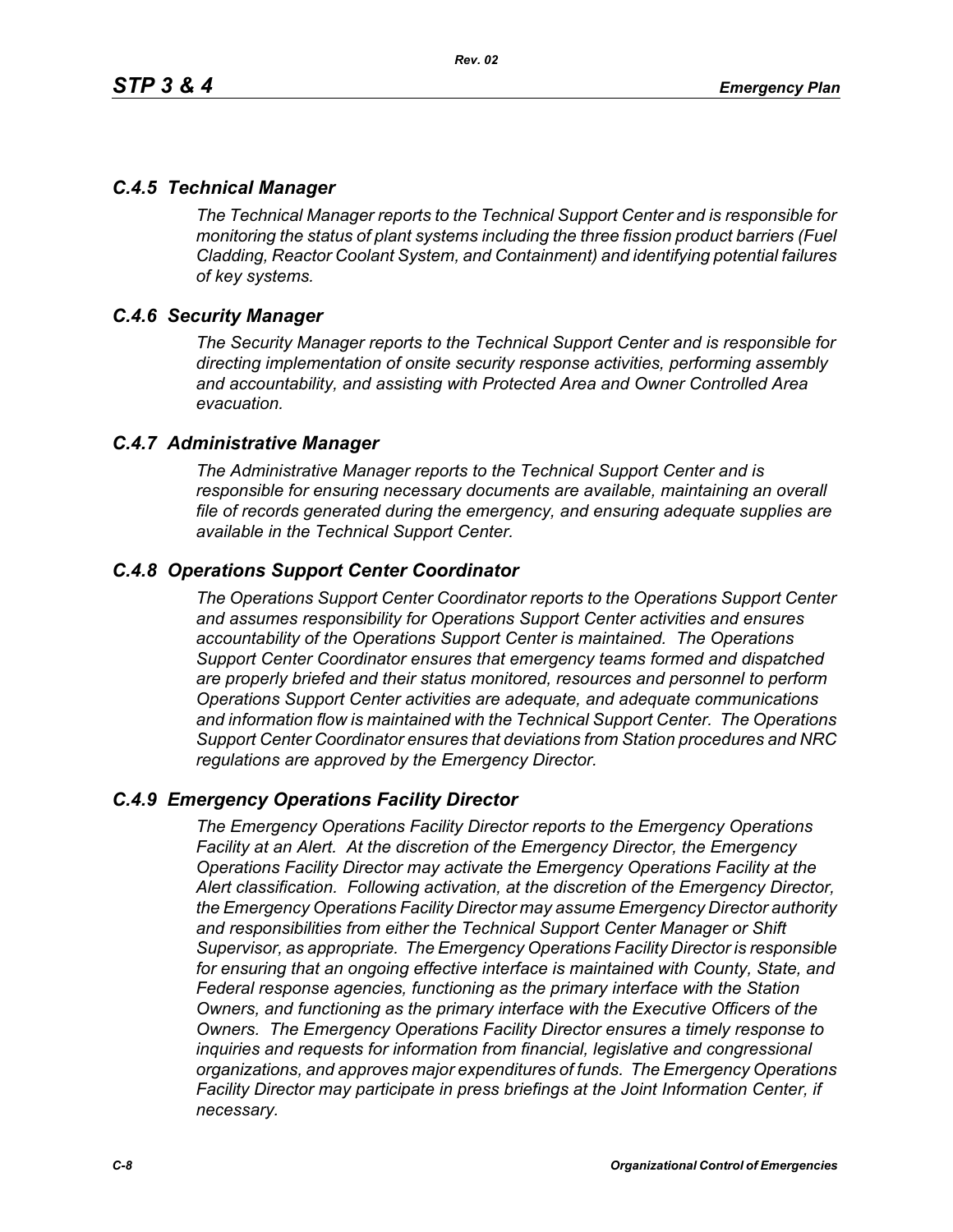# *C.4.5 Technical Manager*

*The Technical Manager reports to the Technical Support Center and is responsible for monitoring the status of plant systems including the three fission product barriers (Fuel Cladding, Reactor Coolant System, and Containment) and identifying potential failures of key systems.* 

# *C.4.6 Security Manager*

*The Security Manager reports to the Technical Support Center and is responsible for directing implementation of onsite security response activities, performing assembly and accountability, and assisting with Protected Area and Owner Controlled Area evacuation.* 

# *C.4.7 Administrative Manager*

*The Administrative Manager reports to the Technical Support Center and is responsible for ensuring necessary documents are available, maintaining an overall file of records generated during the emergency, and ensuring adequate supplies are available in the Technical Support Center.* 

# *C.4.8 Operations Support Center Coordinator*

*The Operations Support Center Coordinator reports to the Operations Support Center and assumes responsibility for Operations Support Center activities and ensures accountability of the Operations Support Center is maintained. The Operations Support Center Coordinator ensures that emergency teams formed and dispatched are properly briefed and their status monitored, resources and personnel to perform Operations Support Center activities are adequate, and adequate communications and information flow is maintained with the Technical Support Center. The Operations Support Center Coordinator ensures that deviations from Station procedures and NRC regulations are approved by the Emergency Director.* 

# *C.4.9 Emergency Operations Facility Director*

*The Emergency Operations Facility Director reports to the Emergency Operations Facility at an Alert. At the discretion of the Emergency Director, the Emergency Operations Facility Director may activate the Emergency Operations Facility at the Alert classification. Following activation, at the discretion of the Emergency Director, the Emergency Operations Facility Director may assume Emergency Director authority and responsibilities from either the Technical Support Center Manager or Shift Supervisor, as appropriate. The Emergency Operations Facility Director is responsible for ensuring that an ongoing effective interface is maintained with County, State, and Federal response agencies, functioning as the primary interface with the Station Owners, and functioning as the primary interface with the Executive Officers of the Owners. The Emergency Operations Facility Director ensures a timely response to inquiries and requests for information from financial, legislative and congressional organizations, and approves major expenditures of funds. The Emergency Operations Facility Director may participate in press briefings at the Joint Information Center, if necessary.*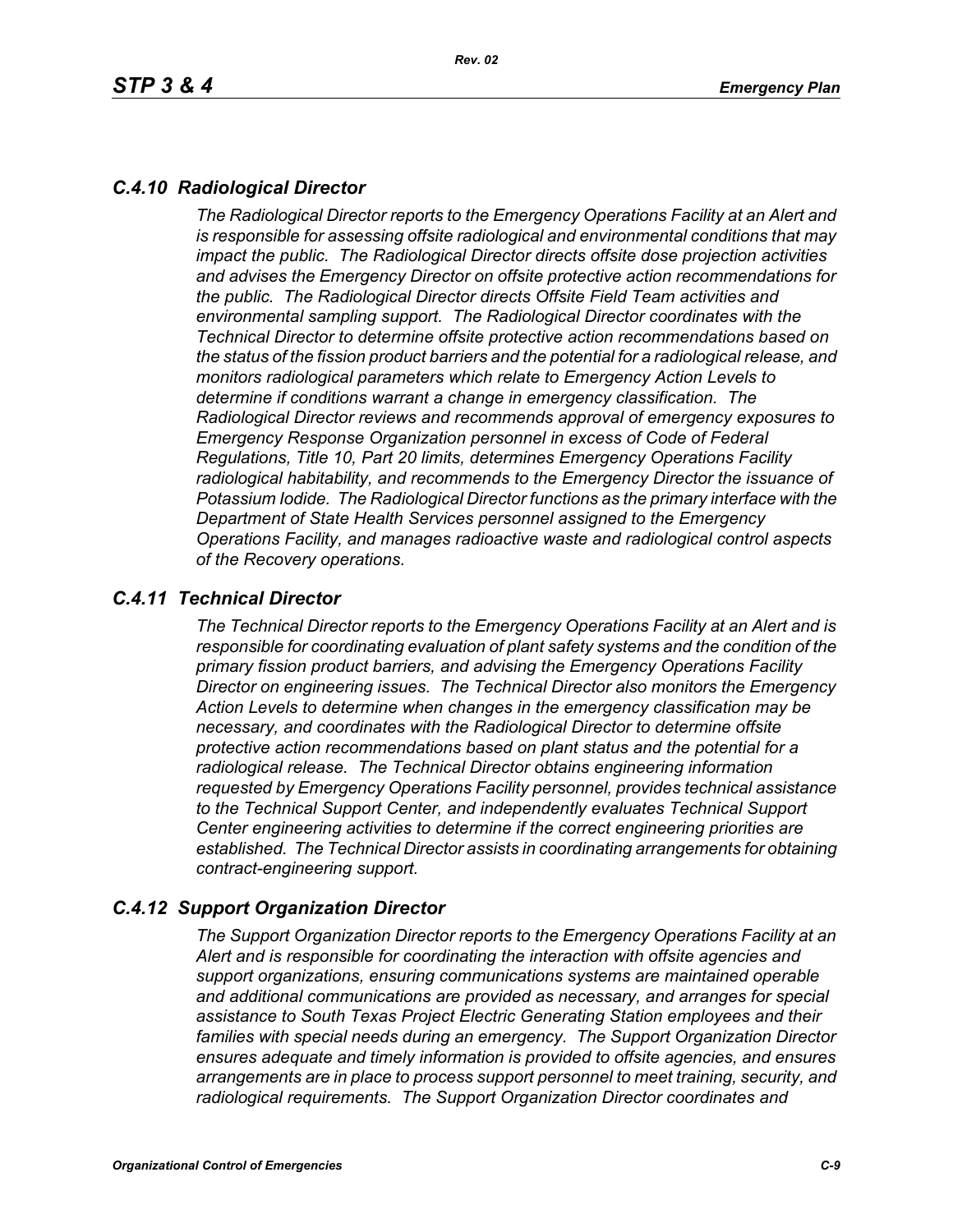# *C.4.10 Radiological Director*

*The Radiological Director reports to the Emergency Operations Facility at an Alert and is responsible for assessing offsite radiological and environmental conditions that may impact the public. The Radiological Director directs offsite dose projection activities and advises the Emergency Director on offsite protective action recommendations for the public. The Radiological Director directs Offsite Field Team activities and environmental sampling support. The Radiological Director coordinates with the Technical Director to determine offsite protective action recommendations based on the status of the fission product barriers and the potential for a radiological release, and monitors radiological parameters which relate to Emergency Action Levels to determine if conditions warrant a change in emergency classification. The Radiological Director reviews and recommends approval of emergency exposures to Emergency Response Organization personnel in excess of Code of Federal Regulations, Title 10, Part 20 limits, determines Emergency Operations Facility radiological habitability, and recommends to the Emergency Director the issuance of Potassium Iodide. The Radiological Director functions as the primary interface with the Department of State Health Services personnel assigned to the Emergency Operations Facility, and manages radioactive waste and radiological control aspects of the Recovery operations.* 

# *C.4.11 Technical Director*

*The Technical Director reports to the Emergency Operations Facility at an Alert and is responsible for coordinating evaluation of plant safety systems and the condition of the primary fission product barriers, and advising the Emergency Operations Facility Director on engineering issues. The Technical Director also monitors the Emergency Action Levels to determine when changes in the emergency classification may be necessary, and coordinates with the Radiological Director to determine offsite protective action recommendations based on plant status and the potential for a radiological release. The Technical Director obtains engineering information requested by Emergency Operations Facility personnel, provides technical assistance to the Technical Support Center, and independently evaluates Technical Support Center engineering activities to determine if the correct engineering priorities are established. The Technical Director assists in coordinating arrangements for obtaining contract-engineering support.* 

# *C.4.12 Support Organization Director*

*The Support Organization Director reports to the Emergency Operations Facility at an Alert and is responsible for coordinating the interaction with offsite agencies and support organizations, ensuring communications systems are maintained operable and additional communications are provided as necessary, and arranges for special assistance to South Texas Project Electric Generating Station employees and their families with special needs during an emergency. The Support Organization Director ensures adequate and timely information is provided to offsite agencies, and ensures arrangements are in place to process support personnel to meet training, security, and radiological requirements. The Support Organization Director coordinates and*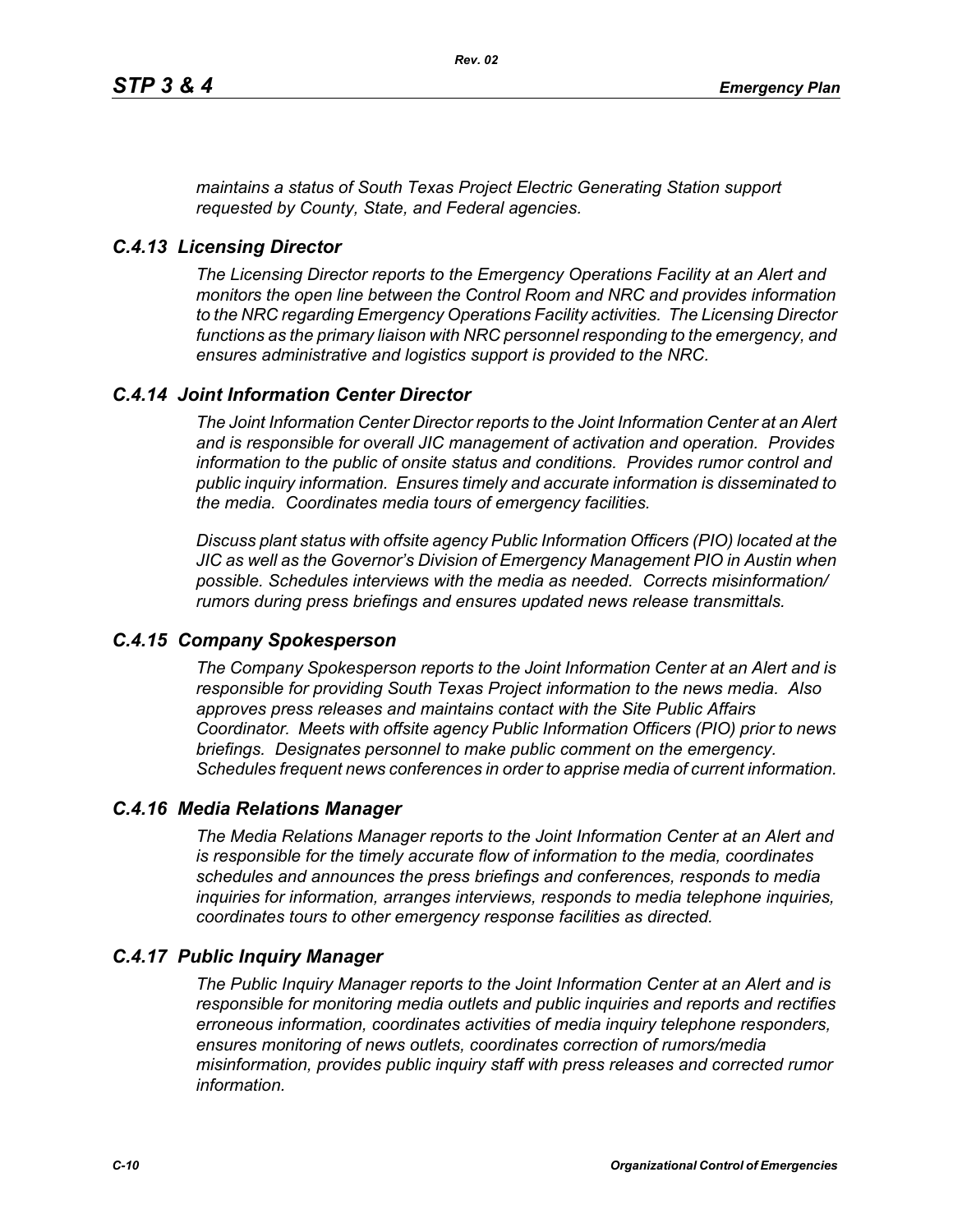*maintains a status of South Texas Project Electric Generating Station support requested by County, State, and Federal agencies.*

#### *C.4.13 Licensing Director*

*The Licensing Director reports to the Emergency Operations Facility at an Alert and monitors the open line between the Control Room and NRC and provides information to the NRC regarding Emergency Operations Facility activities. The Licensing Director functions as the primary liaison with NRC personnel responding to the emergency, and ensures administrative and logistics support is provided to the NRC.*

# *C.4.14 Joint Information Center Director*

*The Joint Information Center Director reports to the Joint Information Center at an Alert and is responsible for overall JIC management of activation and operation. Provides information to the public of onsite status and conditions. Provides rumor control and public inquiry information. Ensures timely and accurate information is disseminated to the media. Coordinates media tours of emergency facilities.* 

*Discuss plant status with offsite agency Public Information Officers (PIO) located at the JIC as well as the Governor's Division of Emergency Management PIO in Austin when possible. Schedules interviews with the media as needed. Corrects misinformation/ rumors during press briefings and ensures updated news release transmittals.*

### *C.4.15 Company Spokesperson*

*The Company Spokesperson reports to the Joint Information Center at an Alert and is responsible for providing South Texas Project information to the news media. Also approves press releases and maintains contact with the Site Public Affairs Coordinator. Meets with offsite agency Public Information Officers (PIO) prior to news briefings. Designates personnel to make public comment on the emergency. Schedules frequent news conferences in order to apprise media of current information.* 

#### *C.4.16 Media Relations Manager*

*The Media Relations Manager reports to the Joint Information Center at an Alert and is responsible for the timely accurate flow of information to the media, coordinates schedules and announces the press briefings and conferences, responds to media inquiries for information, arranges interviews, responds to media telephone inquiries, coordinates tours to other emergency response facilities as directed.*

#### *C.4.17 Public Inquiry Manager*

*The Public Inquiry Manager reports to the Joint Information Center at an Alert and is responsible for monitoring media outlets and public inquiries and reports and rectifies erroneous information, coordinates activities of media inquiry telephone responders, ensures monitoring of news outlets, coordinates correction of rumors/media misinformation, provides public inquiry staff with press releases and corrected rumor information.*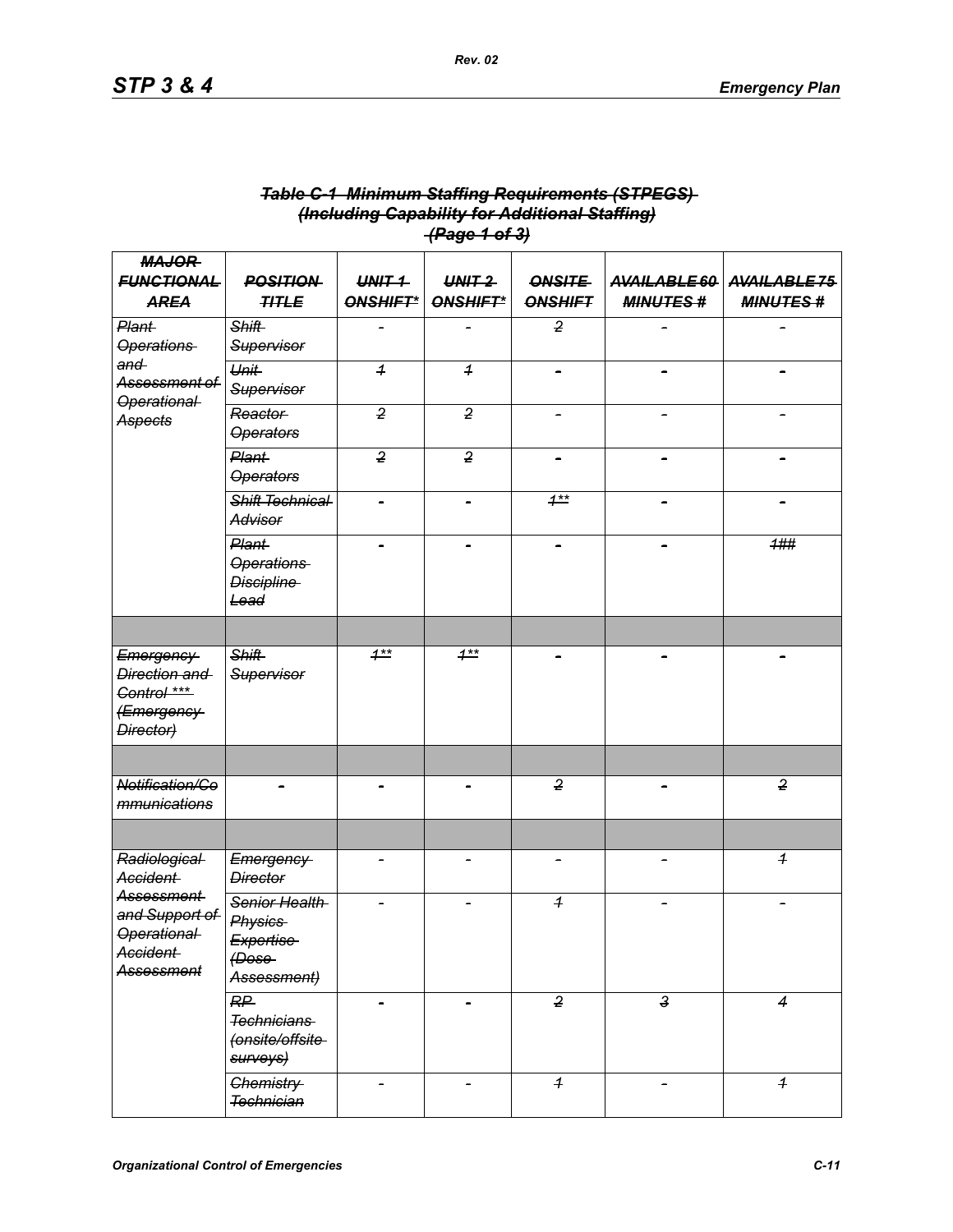|                                                                                             |                                                                         |                      | <del>(Page 1 of 3)</del> |                                 |                                 |                                |
|---------------------------------------------------------------------------------------------|-------------------------------------------------------------------------|----------------------|--------------------------|---------------------------------|---------------------------------|--------------------------------|
| <b>MAJOR</b><br><b>FUNCTIONAL</b><br><b>AREA</b>                                            | <b>POSITION</b><br><b>TITLE</b>                                         | $UNIT-1$<br>ONSHIFT* | $UNIT-2$<br>ONSHIFT*     | <b>ONSITE</b><br><b>ONSHIFT</b> | AVAILABLE 60<br><b>MINUTES#</b> | AVAILABLE75<br><b>MINUTES#</b> |
| Plant-<br><b>Operations</b><br>and<br>Assessment of<br><b>Operational</b><br><b>Aspects</b> | <b>Shift</b><br>Supervisor                                              |                      | ÷                        | $\overline{2}$                  |                                 |                                |
|                                                                                             | <b>Unit</b><br><b>Supervisor</b>                                        | $\overline{1}$       | $\overline{1}$           |                                 |                                 |                                |
|                                                                                             | Reactor<br><b>Operators</b>                                             | $\overline{2}$       | $\overline{2}$           |                                 |                                 |                                |
|                                                                                             | Plant-<br><b>Operators</b>                                              | $\overline{2}$       | $\overline{2}$           | $\overline{\phantom{0}}$        |                                 |                                |
|                                                                                             | <b>Shift Technical</b><br><b>Advisor</b>                                |                      |                          | $1**$                           |                                 |                                |
|                                                                                             | Plant-<br><b>Operations</b><br><b>Discipline</b><br>Lead                |                      |                          |                                 |                                 | 1##                            |
|                                                                                             |                                                                         |                      |                          |                                 |                                 |                                |
| Emergency<br>Direction and<br>Control ***<br>(Emergency-<br>Director)                       | <b>Shift</b><br>Supervisor                                              | $1***$               | $1**$                    |                                 |                                 |                                |
|                                                                                             |                                                                         |                      |                          |                                 |                                 |                                |
| Notification/Co<br>mmunications                                                             |                                                                         |                      |                          | $\overline{2}$                  |                                 | $\overline{2}$                 |
|                                                                                             |                                                                         |                      |                          |                                 |                                 |                                |
| Radiological<br>Accident-                                                                   | Emergency<br><b>Director</b>                                            |                      |                          |                                 |                                 | $\overline{1}$                 |
| Assessment<br>and Support of<br>Operational<br>Accident<br><b>Assessment</b>                | Senior Health<br><b>Physics</b><br>Expertise<br>$f$ Dose<br>Assessment) |                      |                          | $\overline{1}$                  |                                 |                                |
|                                                                                             | RP<br><b>Technicians</b><br>(onsite/offsite<br>surveys)                 |                      |                          | $\overline{2}$                  | لۍ<br>پ                         | $\overline{\mathcal{A}}$       |
|                                                                                             | Chemistry-<br><b>Technician</b>                                         |                      | $\overline{a}$           | $\overline{1}$                  | $\overline{\phantom{0}}$        | $\overline{1}$                 |

# *Table C-1 Minimum Staffing Requirements (STPEGS) (Including Capability for Additional Staffing) (Page 1 of 3)*

*Rev. 02*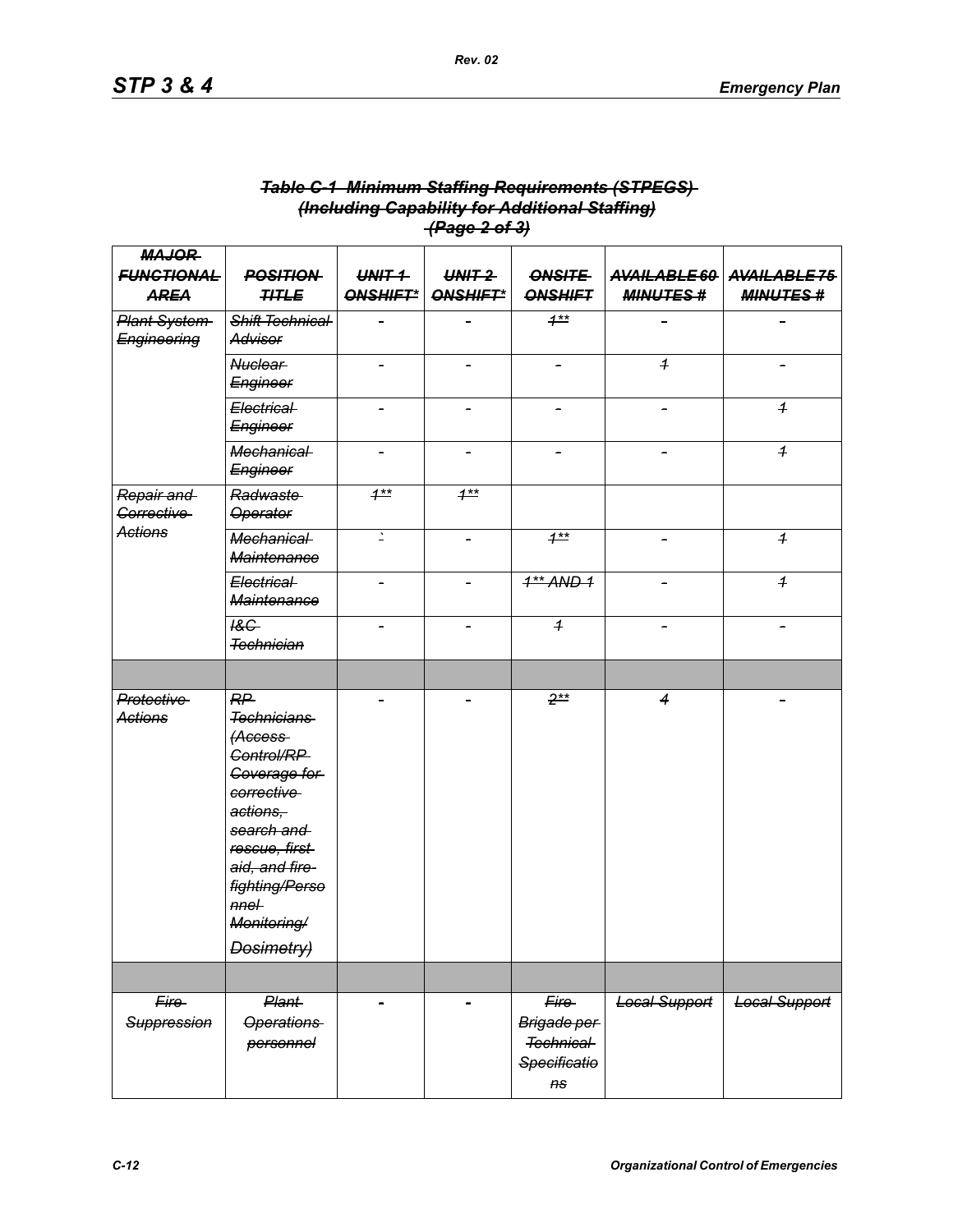|                                                  |                                                                                                                                                                                                               |                      | <del>(Page 2 of 3)</del> |                                                                           |                      |                                              |
|--------------------------------------------------|---------------------------------------------------------------------------------------------------------------------------------------------------------------------------------------------------------------|----------------------|--------------------------|---------------------------------------------------------------------------|----------------------|----------------------------------------------|
| <b>MAJOR</b><br><b>FUNCTIONAL</b><br><b>AREA</b> | <b>POSITION</b><br><b>TITLE</b>                                                                                                                                                                               | $UNHT +$<br>ONSHIFT* | $UNIT-2$<br>ONSHIFT*     | <b>ONSITE</b><br><b>ONSHIFT</b>                                           | <b>MINUTES#</b>      | AVAILABLE 60 AVAILABLE 75<br><b>MINUTES#</b> |
| <b>Plant System</b><br>Engineering               | Shift Technical<br>Advisor                                                                                                                                                                                    |                      |                          | $1***$                                                                    |                      |                                              |
|                                                  | <b>Nuclear</b><br>Engineer                                                                                                                                                                                    |                      |                          |                                                                           | $\overline{1}$       |                                              |
|                                                  | Electrical<br>Engineer                                                                                                                                                                                        |                      |                          |                                                                           |                      | $\overline{1}$                               |
|                                                  | <b>Mechanical</b><br><b>Engineer</b>                                                                                                                                                                          |                      |                          |                                                                           |                      | $\boldsymbol{1}$                             |
| Repair and<br><b>Corrective</b>                  | Radwaste<br><b>Operator</b>                                                                                                                                                                                   | $1***$               | $1**$                    |                                                                           |                      |                                              |
| <b>Actions</b>                                   | <b>Mechanical</b><br><b>Maintenance</b>                                                                                                                                                                       | $\mathbf{L}$         |                          | $1^{**}$                                                                  |                      | $\overline{1}$                               |
|                                                  | Electrical<br><b>Maintenance</b>                                                                                                                                                                              |                      |                          | $4**$ AND $4$                                                             |                      | $\boldsymbol{1}$                             |
|                                                  | 18G<br><b>Technician</b>                                                                                                                                                                                      |                      |                          | $\overline{1}$                                                            |                      |                                              |
|                                                  |                                                                                                                                                                                                               |                      |                          |                                                                           |                      |                                              |
| <b>Protective</b><br><b>Actions</b>              | RP<br><b>Technicians</b><br>(Access-<br><b>Control/RP</b><br>Coverage for<br>corrective<br>actions,<br>search and<br>rescue, first<br>aid, and fire-<br>fighting/Perso<br>$nne+$<br>Monitoring/<br>Dosimetry) |                      |                          | $2**$                                                                     | $\overline{4}$       |                                              |
|                                                  |                                                                                                                                                                                                               |                      |                          |                                                                           |                      |                                              |
| Fire<br>Suppression                              | <b>Plant</b><br><b>Operations</b><br>personnel                                                                                                                                                                |                      |                          | Fire<br>Brigade per<br><b>Technical</b><br>Specificatio<br>A <sub>S</sub> | <b>Local Support</b> | Local Support                                |

# *Table C-1 Minimum Staffing Requirements (STPEGS) (Including Capability for Additional Staffing)*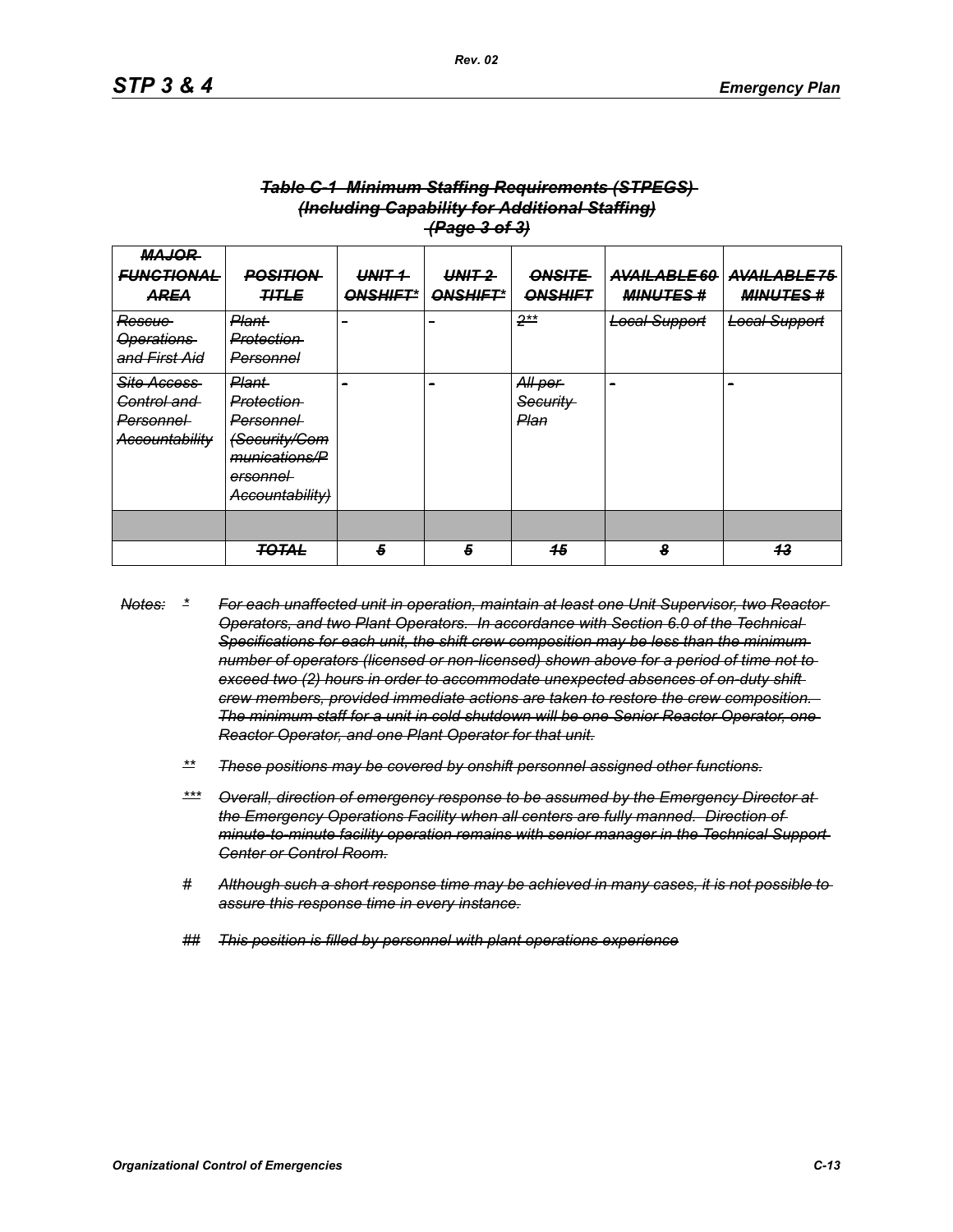| <del>(rage s or s)</del>                                                                 |                                                                                                                                          |                             |                      |                                        |                                 |                                |  |
|------------------------------------------------------------------------------------------|------------------------------------------------------------------------------------------------------------------------------------------|-----------------------------|----------------------|----------------------------------------|---------------------------------|--------------------------------|--|
| <b>MAJOR</b><br><b>FUNCTIONAL</b><br>AREA                                                | <del>POSITION</del><br><b>TITLE</b>                                                                                                      | $UNHT +$<br><b>ONSHIFT*</b> | $UNIT-2$<br>ONSHIFT* | <b>ONSITE</b><br><b>ONSHIFT</b>        | AVAILABLE 60<br><b>MINUTES#</b> | AVAILABLE75<br><b>MINUTES#</b> |  |
| Rescue-<br><b>Operations</b><br>and First Aid                                            | <b>Plant</b><br>Protection<br>Personnel                                                                                                  | -                           | -                    | $2**$                                  | <b>Local Support</b>            | <b>Local Support</b>           |  |
| <b>Site Access</b><br><del>Control and -</del><br><del>Personnel</del><br>Accountability | <del>Plant</del><br>Protection<br><del>Personnel</del><br><b>Security/Com</b><br>munications/P<br><del>ersonnel</del><br>Accountability) |                             | -                    | All per<br><del>Security</del><br>Plan | -                               |                                |  |
|                                                                                          | <b>TOTAL</b>                                                                                                                             | 5                           | 5                    | 45                                     | 8                               | 43                             |  |
|                                                                                          |                                                                                                                                          |                             |                      |                                        |                                 |                                |  |

#### *Table C-1 Minimum Staffing Requirements (STPEGS) (Including Capability for Additional Staffing) (Page 3 of 3)*

- *Notes: \* For each unaffected unit in operation, maintain at least one Unit Supervisor, two Reactor Operators, and two Plant Operators. In accordance with Section 6.0 of the Technical Specifications for each unit, the shift crew composition may be less than the minimum number of operators (licensed or non-licensed) shown above for a period of time not to exceed two (2) hours in order to accommodate unexpected absences of on-duty shift crew members, provided immediate actions are taken to restore the crew composition. The minimum staff for a unit in cold shutdown will be one Senior Reactor Operator, one Reactor Operator, and one Plant Operator for that unit.*
	- *\*\* These positions may be covered by onshift personnel assigned other functions.*
	- *\*\*\* Overall, direction of emergency response to be assumed by the Emergency Director at*  the Emergency Operations Facility when all centers are fully manned. Direction of *minute-to-minute facility operation remains with senior manager in the Technical Support Center or Control Room.*
	- *# Although such a short response time may be achieved in many cases, it is not possible to assure this response time in every instance.*
	- *## This position is filled by personnel with plant operations experience*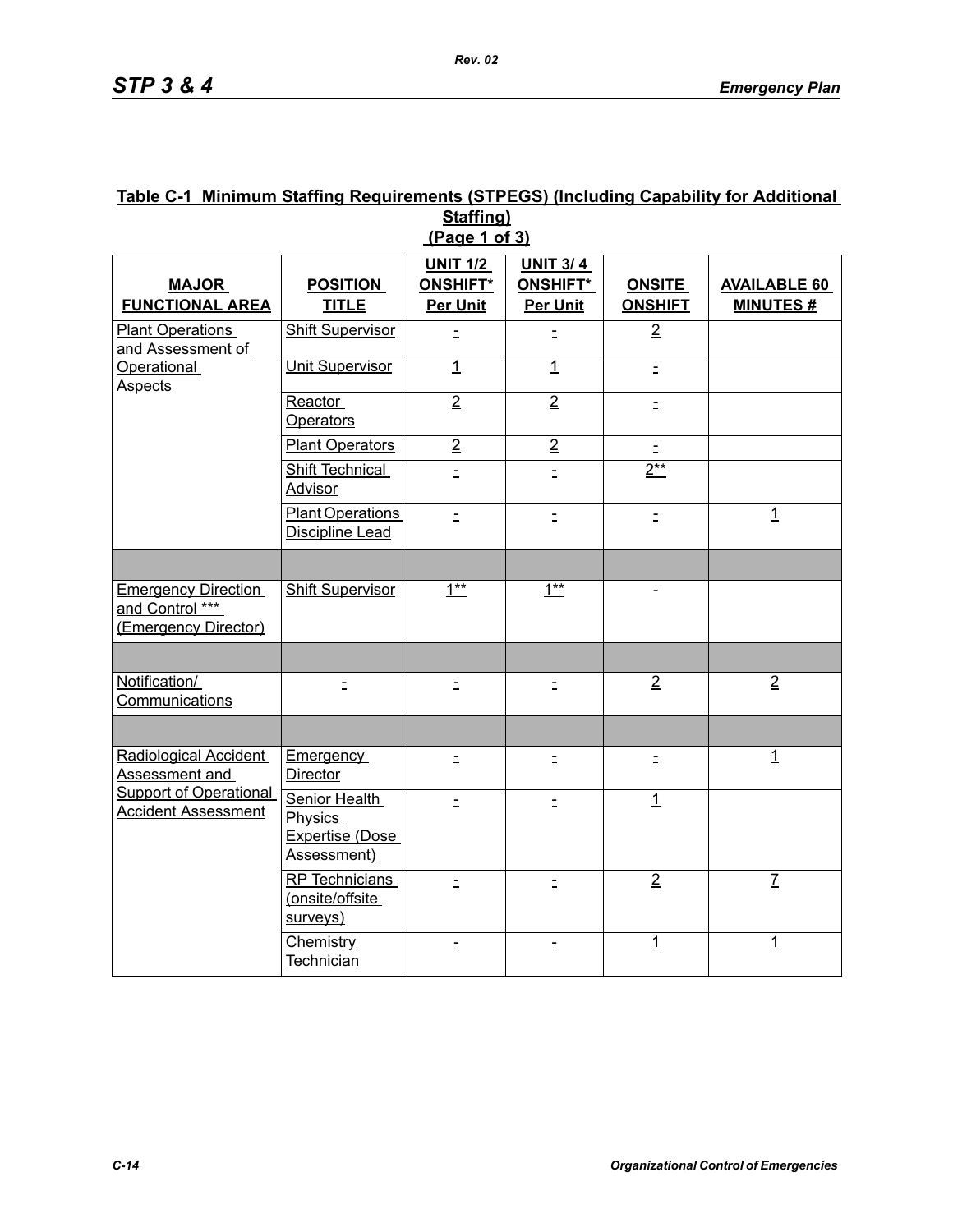#### **Table C-1 Minimum Staffing Requirements (STPEGS) (Including Capability for Additional Staffing) (Page 1 of 3)**

|                                                                       |                                                            | <b>UNIT 1/2</b>                    | <b>UNIT 3/4</b>             |                                 |                                        |
|-----------------------------------------------------------------------|------------------------------------------------------------|------------------------------------|-----------------------------|---------------------------------|----------------------------------------|
| <b>MAJOR</b><br><b>FUNCTIONAL AREA</b>                                | <b>POSITION</b><br><b>TITLE</b>                            | <b>ONSHIFT*</b><br><b>Per Unit</b> | ONSHIFT*<br><b>Per Unit</b> | <b>ONSITE</b><br><b>ONSHIFT</b> | <b>AVAILABLE 60</b><br><b>MINUTES#</b> |
| <b>Plant Operations</b><br>and Assessment of                          | <b>Shift Supervisor</b>                                    | $\equiv$                           | $\equiv$                    | $\overline{2}$                  |                                        |
| <b>Operational</b><br><b>Aspects</b>                                  | <b>Unit Supervisor</b>                                     | $\overline{1}$                     | $\overline{1}$              | $\equiv$                        |                                        |
|                                                                       | Reactor<br><b>Operators</b>                                | $\overline{2}$                     | $\overline{2}$              | $\equiv$                        |                                        |
|                                                                       | <b>Plant Operators</b>                                     | $\overline{2}$                     | $\overline{2}$              | $\overline{z}$                  |                                        |
|                                                                       | <b>Shift Technical</b><br><b>Advisor</b>                   | $\equiv$                           | $\equiv$                    | $2**$                           |                                        |
|                                                                       | <b>Plant Operations</b><br>Discipline Lead                 | $\equiv$                           | $\equiv$                    | $\equiv$                        | $\mathbf{1}$                           |
|                                                                       |                                                            |                                    |                             |                                 |                                        |
| <b>Emergency Direction</b><br>and Control ***<br>(Emergency Director) | Shift Supervisor                                           | $1***$                             | $1***$                      |                                 |                                        |
|                                                                       |                                                            |                                    |                             |                                 |                                        |
| Notification/<br>Communications                                       |                                                            | $\equiv$                           | $\equiv$                    | $\overline{2}$                  | $\overline{2}$                         |
|                                                                       |                                                            |                                    |                             |                                 |                                        |
| Radiological Accident<br>Assessment and                               | <b>Emergency</b><br>Director                               | $\equiv$                           | Ξ                           | $\equiv$                        | $\mathbf{1}$                           |
| <b>Support of Operational</b><br>Accident Assessment                  | Senior Health<br>Physics<br>Expertise (Dose<br>Assessment) | $\equiv$                           | $\equiv$                    | $\overline{1}$                  |                                        |
|                                                                       | RP Technicians<br>(onsite/offsite<br>surveys)              | $\equiv$                           | $\equiv$                    | $\overline{2}$                  | $\overline{L}$                         |
|                                                                       | Chemistry<br>Technician                                    | $\equiv$                           | $\equiv$                    | $\overline{1}$                  | $\overline{1}$                         |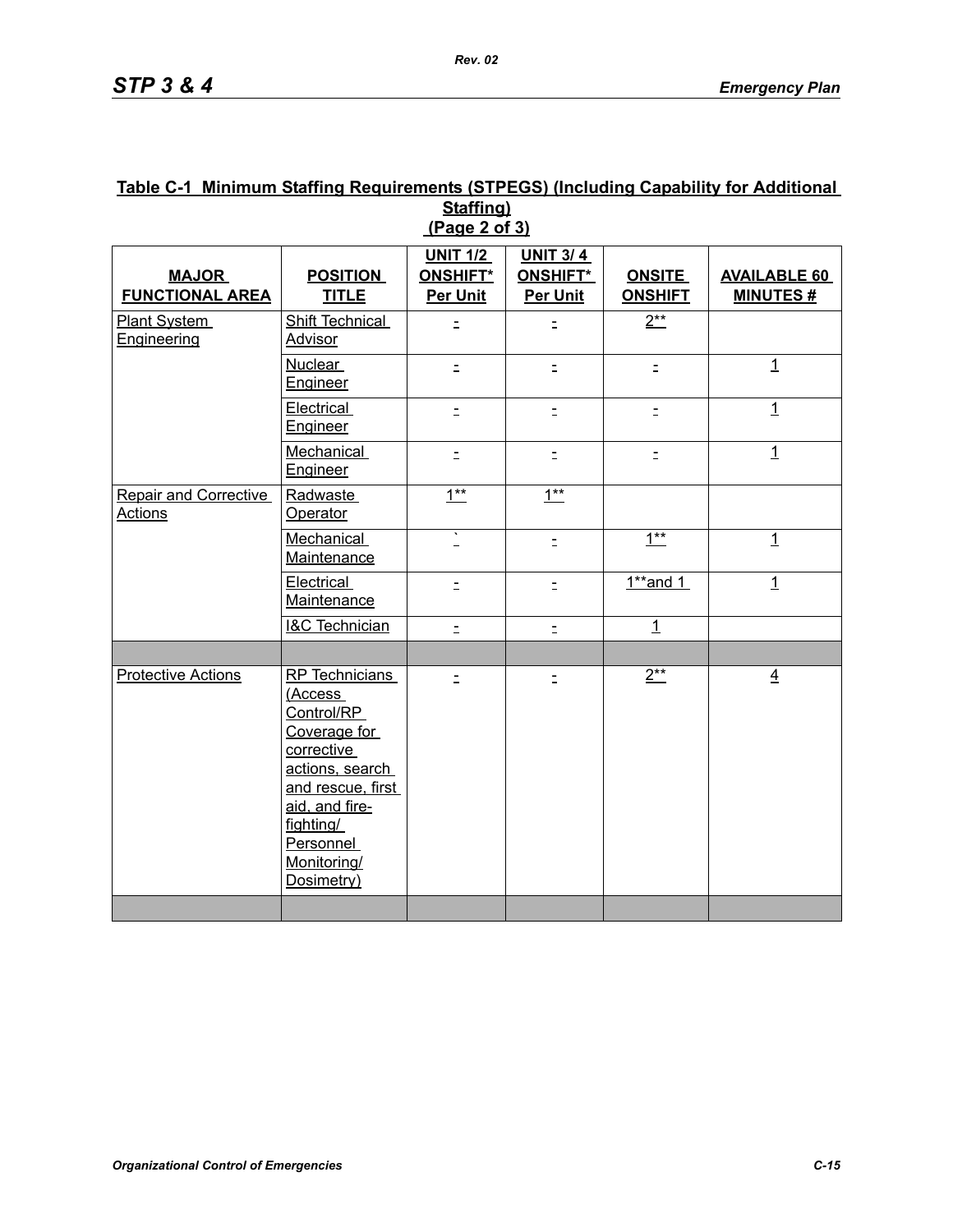### **Table C-1 Minimum Staffing Requirements (STPEGS) (Including Capability for Additional Staffing) (Page 2 of 3)**

| <b>MAJOR</b><br><b>FUNCTIONAL AREA</b>         | <b>POSITION</b><br><b>TITLE</b>                                                                                                                                                        | <b>UNIT 1/2</b><br><b>ONSHIFT*</b><br><b>Per Unit</b> | <b>UNIT 3/4</b><br>ONSHIFT*<br><b>Per Unit</b> | <b>ONSITE</b><br><b>ONSHIFT</b> | <b>AVAILABLE 60</b><br><b>MINUTES#</b> |
|------------------------------------------------|----------------------------------------------------------------------------------------------------------------------------------------------------------------------------------------|-------------------------------------------------------|------------------------------------------------|---------------------------------|----------------------------------------|
| Plant System<br>Engineering                    | Shift Technical<br>Advisor                                                                                                                                                             | Ė.                                                    | Ξ                                              | $2**$                           |                                        |
|                                                | <b>Nuclear</b><br>Engineer                                                                                                                                                             | $\equiv$                                              | $\equiv$                                       | $\equiv$                        | $\overline{1}$                         |
|                                                | Electrical<br>Engineer                                                                                                                                                                 | $\equiv$                                              | Ξ                                              | $\equiv$                        | $\mathbf{1}$                           |
|                                                | Mechanical<br>Engineer                                                                                                                                                                 | $\equiv$                                              | $\bar{z}$                                      | $\equiv$                        | $\mathbf{1}$                           |
| <b>Repair and Corrective</b><br><b>Actions</b> | Radwaste<br>Operator                                                                                                                                                                   | $1***$                                                | $1***$                                         |                                 |                                        |
|                                                | Mechanical<br>Maintenance                                                                                                                                                              | τ                                                     | $\equiv$                                       | $1***$                          | $\overline{1}$                         |
|                                                | Electrical<br>Maintenance                                                                                                                                                              | $\equiv$                                              | $\equiv$                                       | $1**$ and 1                     | $\overline{1}$                         |
|                                                | <b>I&amp;C Technician</b>                                                                                                                                                              | $\equiv$                                              | $\equiv$                                       | $\overline{1}$                  |                                        |
|                                                |                                                                                                                                                                                        |                                                       |                                                |                                 |                                        |
| <b>Protective Actions</b>                      | RP Technicians<br>(Access<br>Control/RP<br>Coverage for<br>corrective<br>actions, search<br>and rescue, first<br>aid, and fire-<br>fighting/<br>Personnel<br>Monitoring/<br>Dosimetry) | $\equiv$                                              | $\equiv$                                       | $2**$                           | $\overline{4}$                         |
|                                                |                                                                                                                                                                                        |                                                       |                                                |                                 |                                        |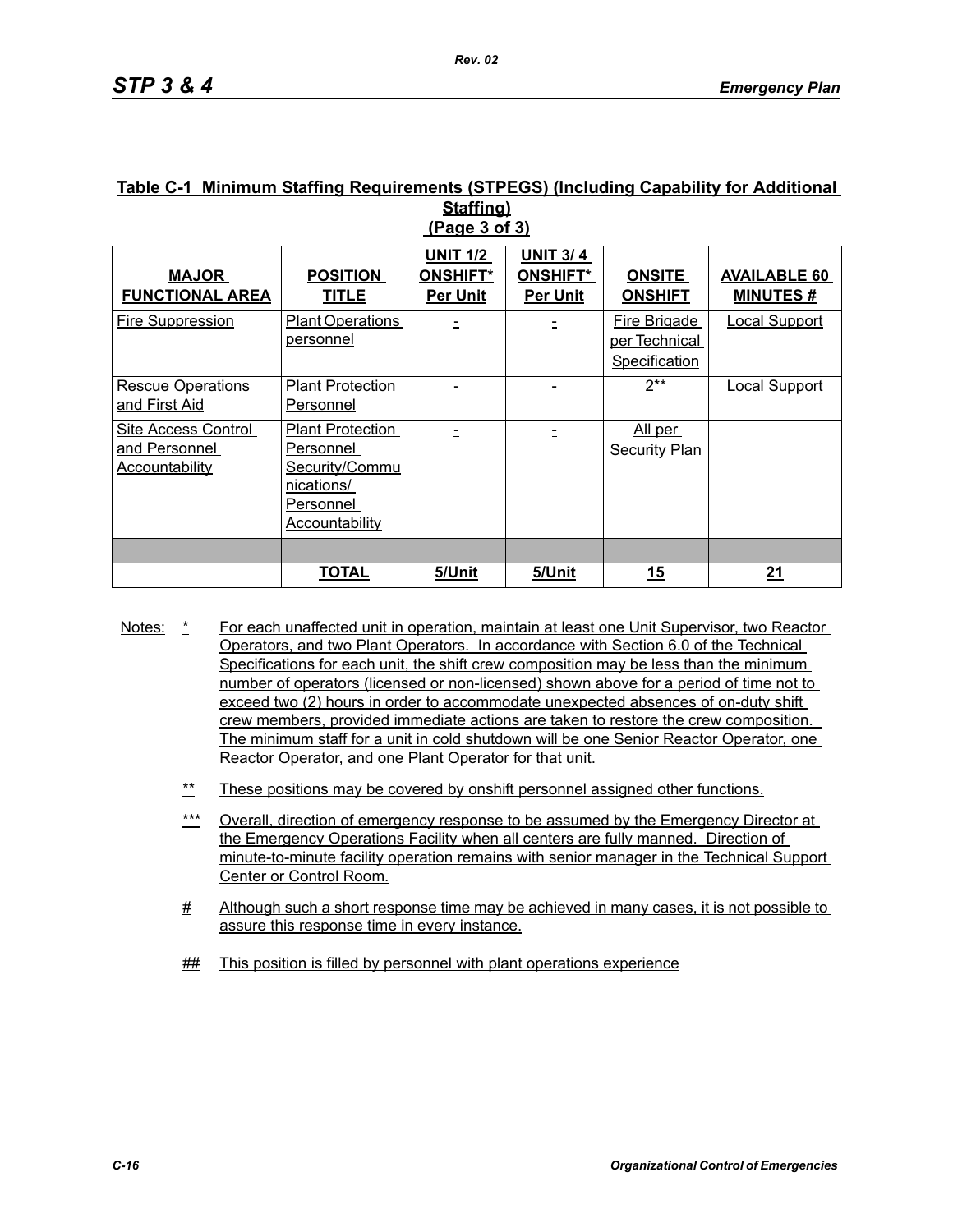#### **Table C-1 Minimum Staffing Requirements (STPEGS) (Including Capability for Additional Staffing) (Page 3 of 3)**

| <b>MAJOR</b><br><b>FUNCTIONAL AREA</b>                        | <b>POSITION</b><br><b>TITLE</b>                                                                            | <b>UNIT 1/2</b><br><b>ONSHIFT*</b><br><b>Per Unit</b> | <b>UNIT 3/4</b><br><b>ONSHIFT*</b><br><b>Per Unit</b> | <b>ONSITE</b><br><b>ONSHIFT</b>                       | <b>AVAILABLE 60</b><br><b>MINUTES#</b> |
|---------------------------------------------------------------|------------------------------------------------------------------------------------------------------------|-------------------------------------------------------|-------------------------------------------------------|-------------------------------------------------------|----------------------------------------|
| <b>Fire Suppression</b>                                       | <b>Plant Operations</b><br>personnel                                                                       |                                                       |                                                       | <b>Fire Brigade</b><br>per Technical<br>Specification | <b>Local Support</b>                   |
| <b>Rescue Operations</b><br>and First Aid                     | <b>Plant Protection</b><br>Personnel                                                                       |                                                       |                                                       | $2^{**}$                                              | <b>Local Support</b>                   |
| Site Access Control<br>and Personnel<br><b>Accountability</b> | <b>Plant Protection</b><br>Personnel<br>Security/Commu<br>nications/<br>Personnel<br><b>Accountability</b> |                                                       |                                                       | All per<br><b>Security Plan</b>                       |                                        |
|                                                               |                                                                                                            |                                                       |                                                       |                                                       |                                        |
|                                                               | <b>TOTAL</b>                                                                                               | 5/Unit                                                | 5/Unit                                                | <u> 15</u>                                            | <u> 21</u>                             |

- Notes: \* For each unaffected unit in operation, maintain at least one Unit Supervisor, two Reactor Operators, and two Plant Operators. In accordance with Section 6.0 of the Technical Specifications for each unit, the shift crew composition may be less than the minimum number of operators (licensed or non-licensed) shown above for a period of time not to exceed two (2) hours in order to accommodate unexpected absences of on-duty shift crew members, provided immediate actions are taken to restore the crew composition. The minimum staff for a unit in cold shutdown will be one Senior Reactor Operator, one Reactor Operator, and one Plant Operator for that unit.
	- These positions may be covered by onshift personnel assigned other functions.
	- \*\*\* Overall, direction of emergency response to be assumed by the Emergency Director at the Emergency Operations Facility when all centers are fully manned. Direction of minute-to-minute facility operation remains with senior manager in the Technical Support Center or Control Room.
	- # Although such a short response time may be achieved in many cases, it is not possible to assure this response time in every instance.
	- **##** This position is filled by personnel with plant operations experience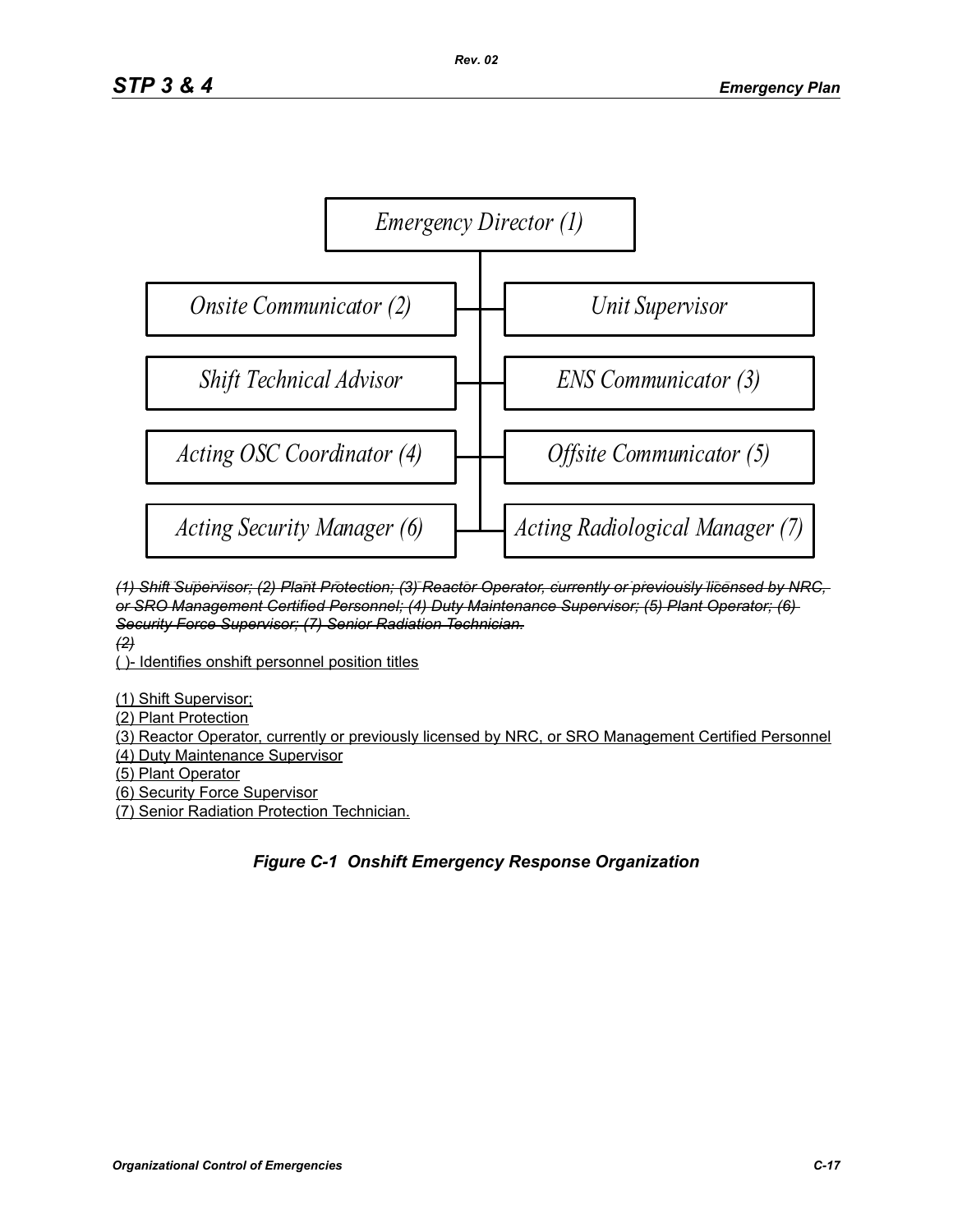

(1) Shift Supervisor; (2) Plant Protection; (3) Reactor Operator, currently or previously licensed by NRC, or SRO Management Certified Personnel; (4) Duty Maintenance Supervisor; (5) Plant Operator; (6) *Force Supervisor; (7) Senior Radiation Protection Technician. (2) Security Force Supervisor; (7) Senior Radiation Technician.*

*(2)*

<del>t≠/</del><br><u>( )- Identifies onshift personnel position titles</u>

(1) Shift Supervisor;

(2) Plant Protection, currently licensed by NRC, or SRO Management Certified Personnel Personnel Personnel Personnel Personnel Personnel Personnel Personnel Personnel Personnel Personnel Personnel Personnel Personnel Perso

(3) Reactor Operator, currently or previously licensed by NRC, or SRO Management Certified Personnel (4) Duty Maintenance Supervisor

(6) Plant Operator<br>(5) Plant Operator

(5) Hant Operator<br>(6) Security Force Supervisor

(7) Senior Radiation Protection Technician.

# *Figure C-1 Onshift Emergency Response Organization*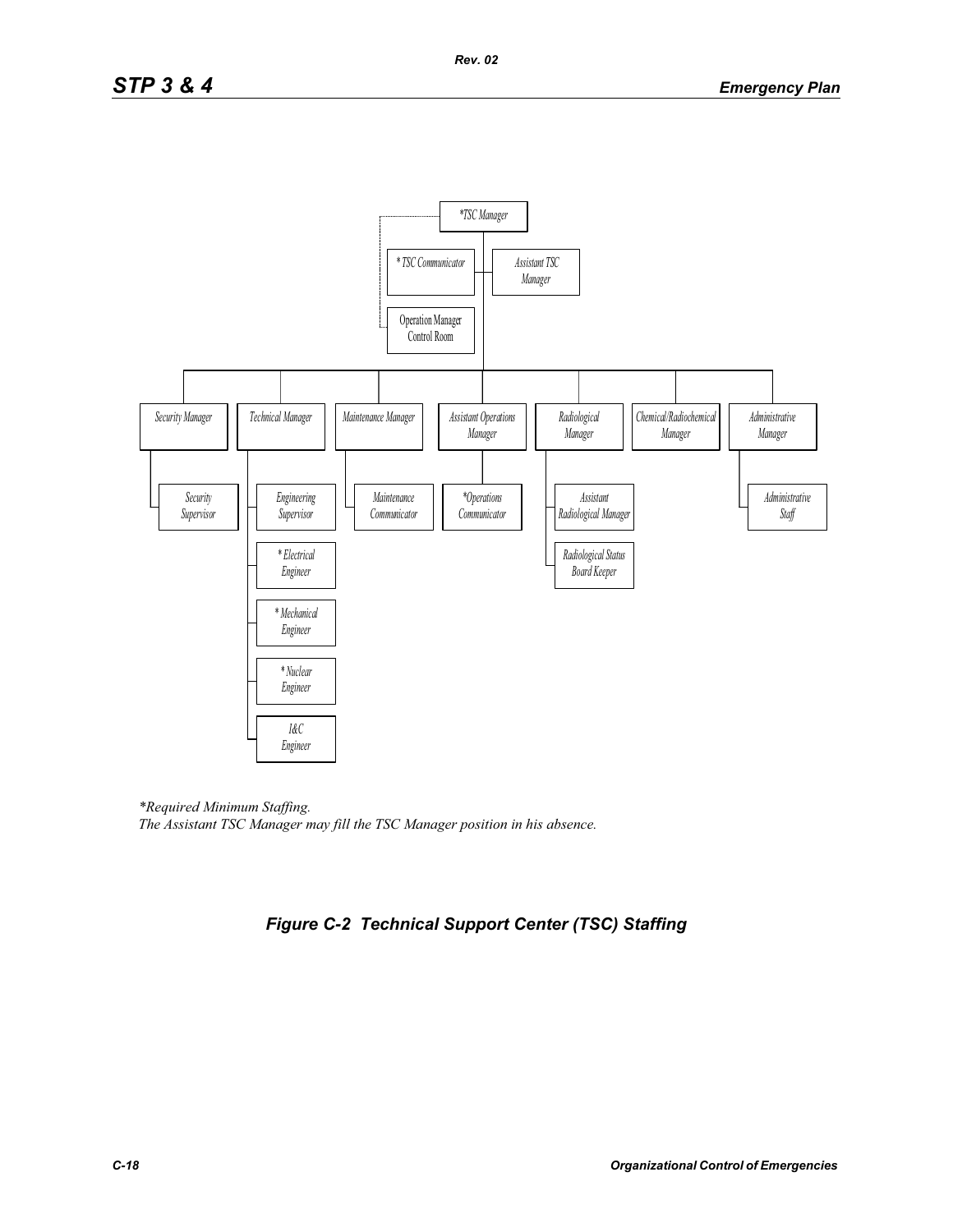

*\*Required Minimum Staffing. The Assistant TSC Manager may fill the TSC Manager position in his absence.*

# *Figure C-2 Technical Support Center (TSC) Staffing*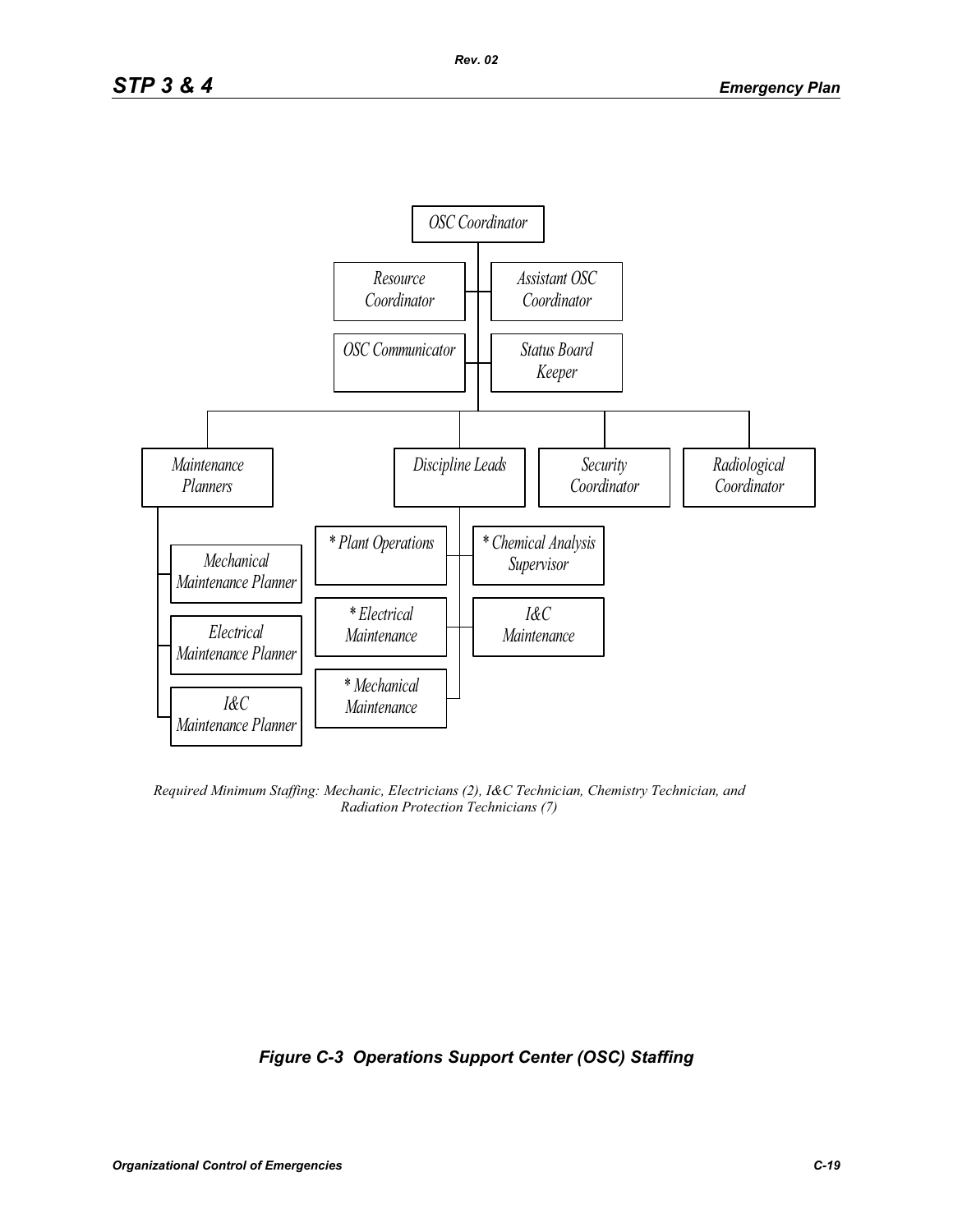

*Required Minimum Staffing: Mechanic, Electricians (2), I&C Technician, Chemistry Technician, and Radiation Protection Technicians (7)*

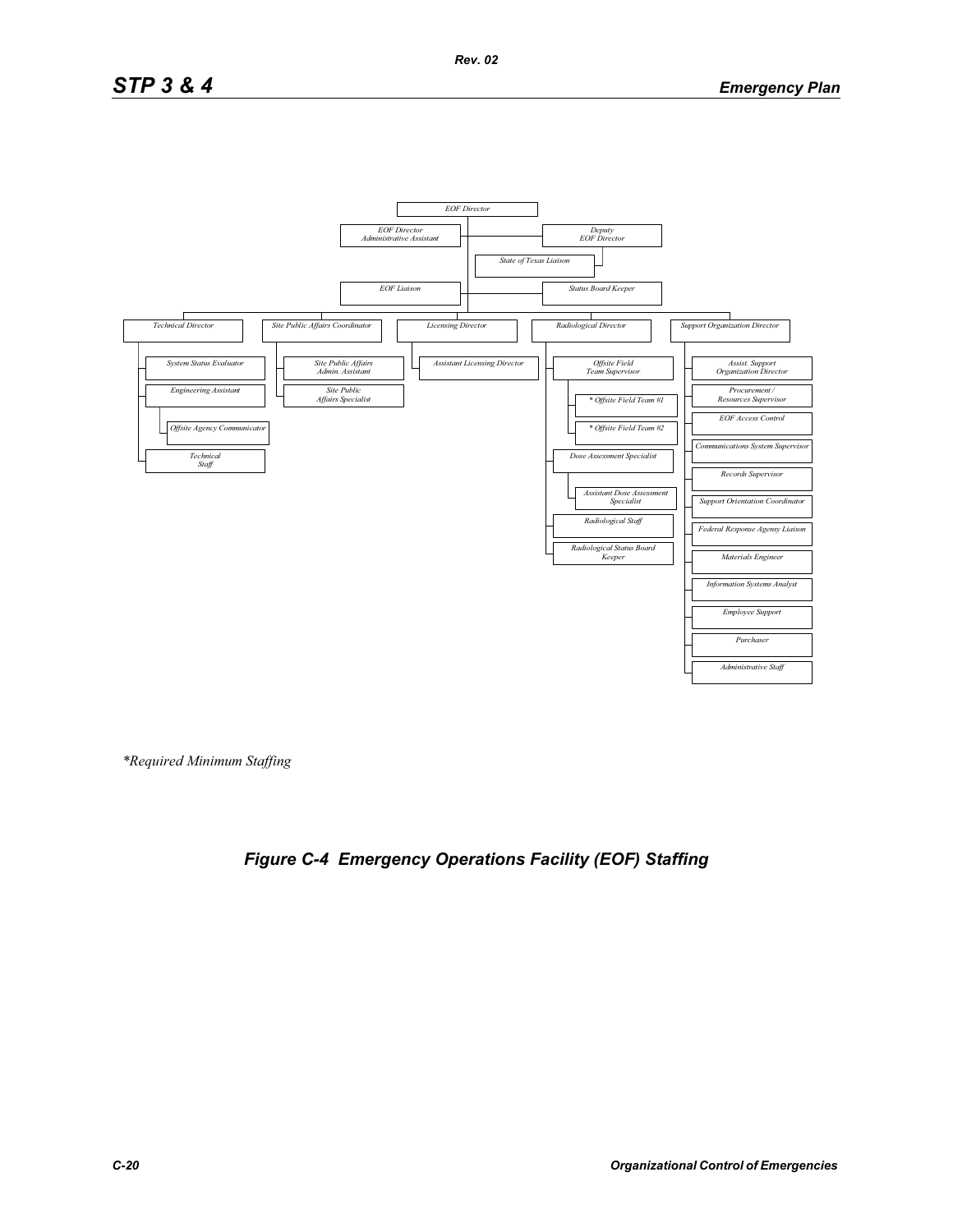# *STP 3 & 4 Emergency Plan*



*\*Required Minimum Staffing*

# *Figure C-4 Emergency Operations Facility (EOF) Staffing*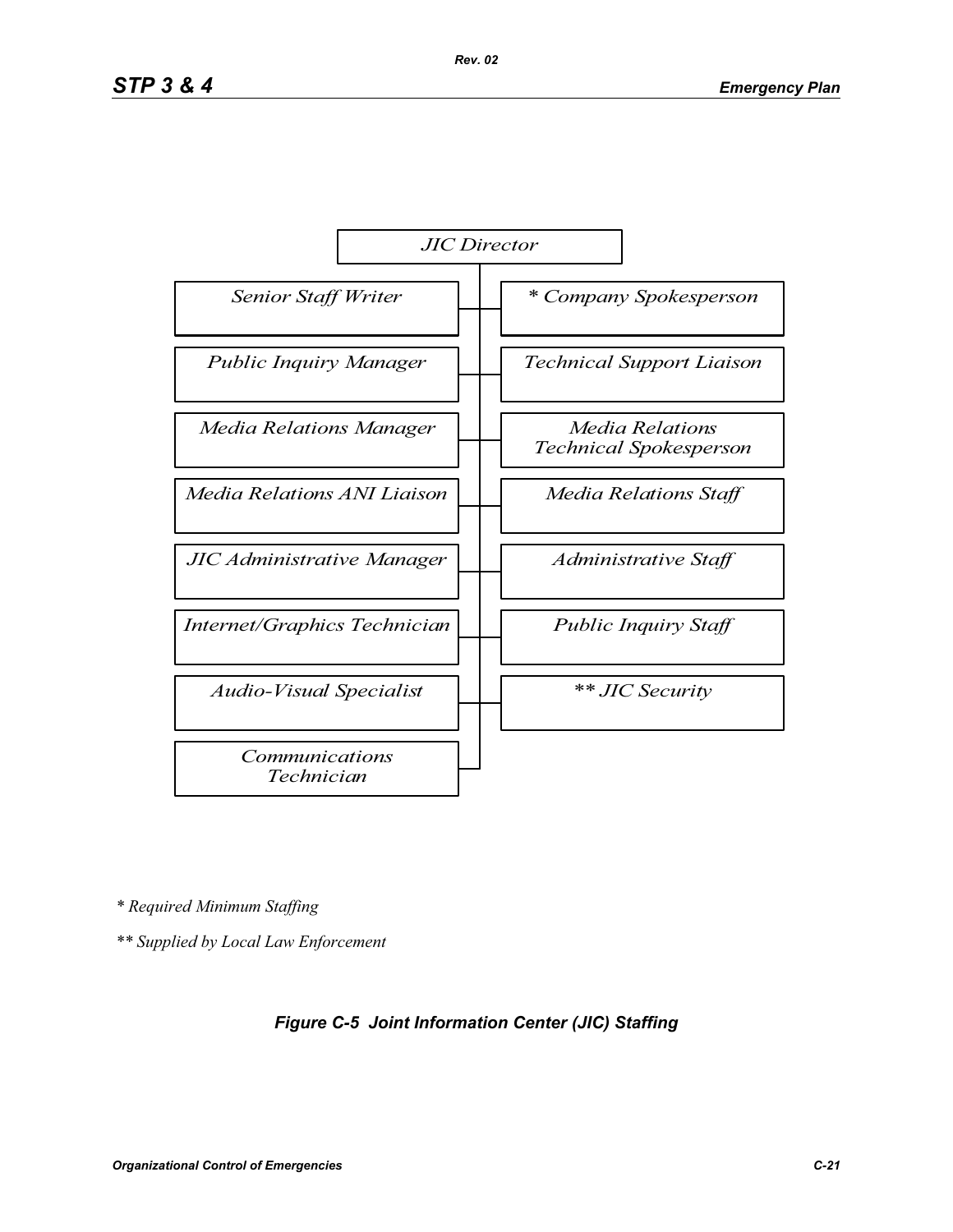

*\* Required Minimum Staffing*

*\*\* Supplied by Local Law Enforcement*

### *Figure C-5 Joint Information Center (JIC) Staffing*